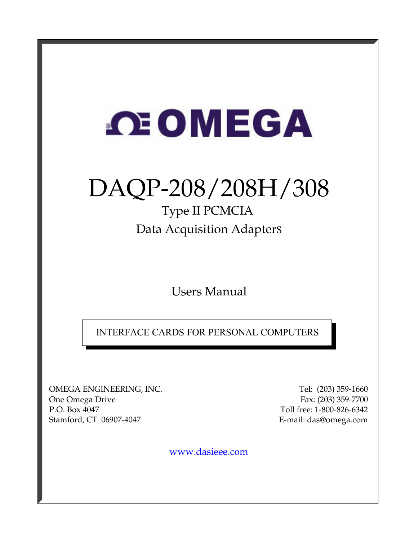# **OE OMEGA**

## DAQP-208/208H/308

## Type II PCMCIA Data Acquisition Adapters

Users Manual

INTERFACE CARDS FOR PERSONAL COMPUTERS

OMEGA ENGINEERING, INC. Tel: (203) 359-1660 One Omega Drive Fax: (203) 359-7700 P.O. Box 4047 Toll free: 1-800-826-6342 Stamford, CT 06907-4047 E-mail: das@omega.com

www.dasieee.com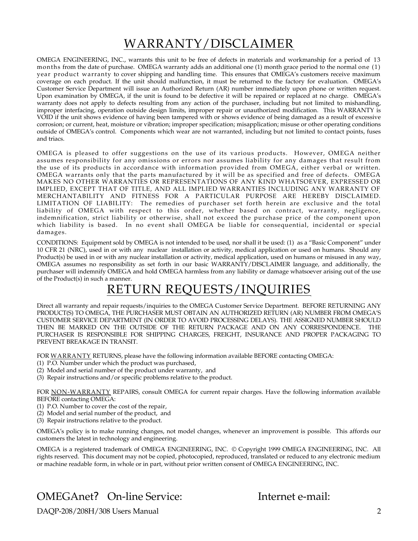## WARRANTY/DISCLAIMER

OMEGA ENGINEERING, INC., warrants this unit to be free of defects in materials and workmanship for a period of 13 months from the date of purchase. OMEGA warranty adds an additional one (1) month grace period to the normal one (1) year product warranty to cover shipping and handling time. This ensures that OMEGA's customers receive maximum coverage on each product. If the unit should malfunction, it must be returned to the factory for evaluation. OMEGA's Customer Service Department will issue an Authorized Return (AR) number immediately upon phone or written request. Upon examination by OMEGA, if the unit is found to be defective it will be repaired or replaced at no charge. OMEGA's warranty does not apply to defects resulting from any action of the purchaser, including but not limited to mishandling, improper interfacing, operation outside design limits, improper repair or unauthorized modification. This WARRANTY is VOID if the unit shows evidence of having been tampered with or shows evidence of being damaged as a result of excessive corrosion; or current, heat, moisture or vibration; improper specification; misapplication; misuse or other operating conditions outside of OMEGA's control. Components which wear are not warranted, including but not limited to contact points, fuses and triacs.

OMEGA is pleased to offer suggestions on the use of its various products. However, OMEGA neither assumes responsibility for any omissions or errors nor assumes liability for any damages that result from the use of its products in accordance with information provided from OMEGA, either verbal or written. OMEGA warrants only that the parts manufactured by it will be as specified and free of defects. OMEGA MAKES NO OTHER WARRANTIES OR REPRESENTATIONS OF ANY KIND WHATSOEVER, EXPRESSED OR IMPLIED, EXCEPT THAT OF TITLE, AND ALL IMPLIED WARRANTIES INCLUDING ANY WARRANTY OF MERCHANTABILITY AND FITNESS FOR A PARTICULAR PURPOSE ARE HEREBY DISCLAIMED. LIMITATION OF LIABILITY: The remedies of purchaser set forth herein are exclusive and the total liability of OMEGA with respect to this order, whether based on contract, warranty, negligence, indemnification, strict liability or otherwise, shall not exceed the purchase price of the component upon which liability is based. In no event shall OMEGA be liable for consequential, incidental or special damages.

CONDITIONS: Equipment sold by OMEGA is not intended to be used, nor shall it be used: (1) as a "Basic Component" under 10 CFR 21 (NRC), used in or with any nuclear installation or activity, medical application or used on humans. Should any Product(s) be used in or with any nuclear installation or activity, medical application, used on humans or misused in any way, OMEGA assumes no responsibility as set forth in our basic WARRANTY/DISCLAIMER language, and additionally, the purchaser will indemnify OMEGA and hold OMEGA harmless from any liability or damage whatsoever arising out of the use of the Product(s) in such a manner.

## RETURN REQUESTS/INQUIRIES

Direct all warranty and repair requests/inquiries to the OMEGA Customer Service Department. BEFORE RETURNING ANY PRODUCT(S) TO OMEGA, THE PURCHASER MUST OBTAIN AN AUTHORIZED RETURN (AR) NUMBER FROM OMEGA'S CUSTOMER SERVICE DEPARTMENT (IN ORDER TO AVOID PROCESSING DELAYS). THE ASSIGNED NUMBER SHOULD THEN BE MARKED ON THE OUTSIDE OF THE RETURN PACKAGE AND ON ANY CORRESPONDENCE. THE PURCHASER IS RESPONSIBLE FOR SHIPPING CHARGES, FREIGHT, INSURANCE AND PROPER PACKAGING TO PREVENT BREAKAGE IN TRANSIT.

FOR WARRANTY RETURNS, please have the following information available BEFORE contacting OMEGA:

- (1) P.O. Number under which the product was purchased,
- (2) Model and serial number of the product under warranty, and
- (3) Repair instructions and/or specific problems relative to the product.

FOR NON-WARRANTY REPAIRS, consult OMEGA for current repair charges. Have the following information available BEFORE contacting OMEGA:

- (1) P.O. Number to cover the cost of the repair,
- (2) Model and serial number of the product, and
- (3) Repair instructions relative to the product.

OMEGA's policy is to make running changes, not model changes, whenever an improvement is possible. This affords our customers the latest in technology and engineering.

OMEGA is a registered trademark of OMEGA ENGINEERING, INC. © Copyright 1999 OMEGA ENGINEERING, INC. All rights reserved. This document may not be copied, photocopied, reproduced, translated or reduced to any electronic medium or machine readable form, in whole or in part, without prior written consent of OMEGA ENGINEERING, INC.

#### OMEGAnet? On-line Service: Internet e-mail:

DAQP-208/208H/308 Users Manual 2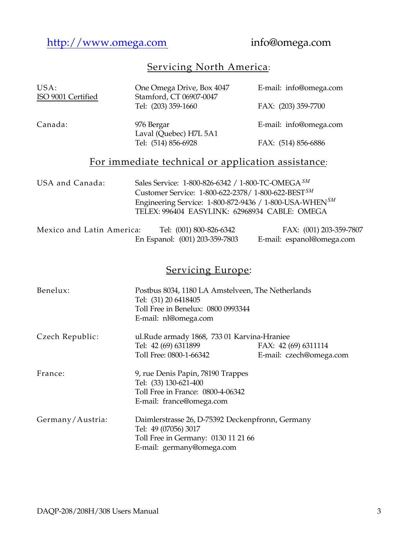http://www.omega.com info@omega.com

### Servicing North America:

| USA:<br>ISO 9001 Certified | One Omega Drive, Box 4047<br>Stamford, CT 06907-0047<br>Tel: (203) 359-1660                                                                                                                                                               | E-mail: info@omega.com<br>FAX: (203) 359-7700        |
|----------------------------|-------------------------------------------------------------------------------------------------------------------------------------------------------------------------------------------------------------------------------------------|------------------------------------------------------|
| Canada:                    | 976 Bergar<br>Laval (Quebec) H7L 5A1                                                                                                                                                                                                      | E-mail: info@omega.com                               |
|                            | Tel: (514) 856-6928                                                                                                                                                                                                                       | FAX: (514) 856-6886                                  |
|                            | For immediate technical or application assistance:                                                                                                                                                                                        |                                                      |
| USA and Canada:            | Sales Service: 1-800-826-6342 / 1-800-TC-OMEGA <sup>SM</sup><br>Customer Service: 1-800-622-2378/ 1-800-622-BESTSM<br>Engineering Service: 1-800-872-9436 / 1-800-USA-WHEN <sup>SM</sup><br>TELEX: 996404 EASYLINK: 62968934 CABLE: OMEGA |                                                      |
| Mexico and Latin America:  | Tel: (001) 800-826-6342<br>En Espanol: (001) 203-359-7803                                                                                                                                                                                 | FAX: (001) 203-359-7807<br>E-mail: espanol@omega.com |
|                            | <b>Servicing Europe:</b>                                                                                                                                                                                                                  |                                                      |
| Benelux:                   | Postbus 8034, 1180 LA Amstelveen, The Netherlands<br>Tel: (31) 20 6418405<br>Toll Free in Benelux: 0800 0993344<br>E-mail: nl@omega.com                                                                                                   |                                                      |
| Czech Republic:            | ul.Rude armady 1868, 733 01 Karvina-Hraniee<br>Tel: 42 (69) 6311899<br>Toll Free: 0800-1-66342                                                                                                                                            | FAX: 42 (69) 6311114<br>E-mail: czech@omega.com      |
| France:                    | 9, rue Denis Papin, 78190 Trappes<br>Tel: (33) 130-621-400<br>Toll Free in France: 0800-4-06342<br>E-mail: france@omega.com                                                                                                               |                                                      |
| Germany/Austria:           | Daimlerstrasse 26, D-75392 Deckenpfronn, Germany<br>Tel: 49 (07056) 3017<br>Toll Free in Germany: 0130 11 21 66<br>E-mail: germany@omega.com                                                                                              |                                                      |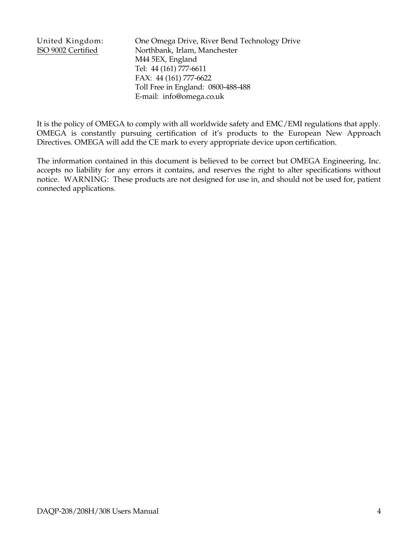United Kingdom: One Omega Drive, River Bend Technology Drive ISO 9002 Certified Northbank, Irlam, Manchester M44 5EX, England Tel: 44 (161) 777-6611 FAX: 44 (161) 777-6622 Toll Free in England: 0800-488-488 E-mail: info@omega.co.uk

It is the policy of OMEGA to comply with all worldwide safety and EMC/EMI regulations that apply. OMEGA is constantly pursuing certification of it's products to the European New Approach Directives. OMEGA will add the CE mark to every appropriate device upon certification.

The information contained in this document is believed to be correct but OMEGA Engineering, Inc. accepts no liability for any errors it contains, and reserves the right to alter specifications without notice. WARNING: These products are not designed for use in, and should not be used for, patient connected applications.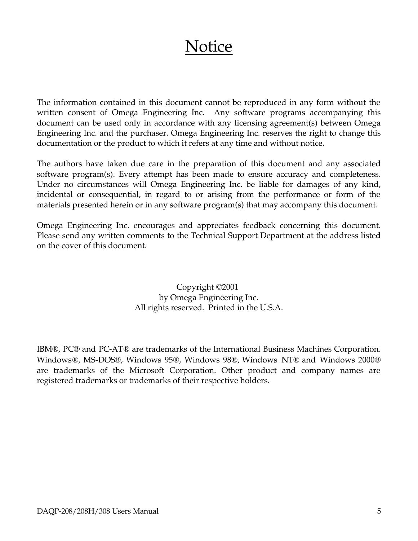## **Notice**

The information contained in this document cannot be reproduced in any form without the written consent of Omega Engineering Inc. Any software programs accompanying this document can be used only in accordance with any licensing agreement(s) between Omega Engineering Inc. and the purchaser. Omega Engineering Inc. reserves the right to change this documentation or the product to which it refers at any time and without notice.

The authors have taken due care in the preparation of this document and any associated software program(s). Every attempt has been made to ensure accuracy and completeness. Under no circumstances will Omega Engineering Inc. be liable for damages of any kind, incidental or consequential, in regard to or arising from the performance or form of the materials presented herein or in any software program(s) that may accompany this document.

Omega Engineering Inc. encourages and appreciates feedback concerning this document. Please send any written comments to the Technical Support Department at the address listed on the cover of this document.

> Copyright ©2001 by Omega Engineering Inc. All rights reserved. Printed in the U.S.A.

IBM®, PC® and PC-AT® are trademarks of the International Business Machines Corporation. Windows®, MS-DOS®, Windows 95®, Windows 98®, Windows NT® and Windows 2000® are trademarks of the Microsoft Corporation. Other product and company names are registered trademarks or trademarks of their respective holders.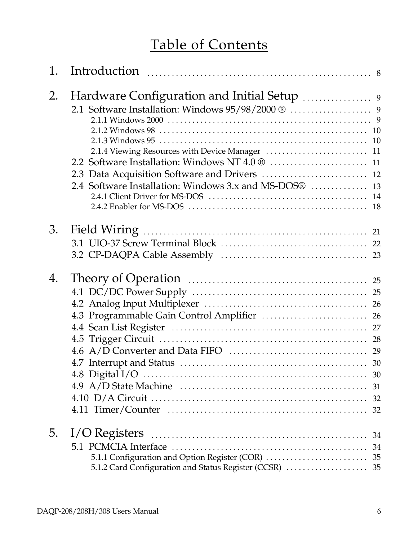## Table of Contents

| 1. |                                                         |  |
|----|---------------------------------------------------------|--|
| 2. |                                                         |  |
|    |                                                         |  |
|    |                                                         |  |
|    |                                                         |  |
|    |                                                         |  |
|    |                                                         |  |
|    |                                                         |  |
|    |                                                         |  |
|    |                                                         |  |
|    |                                                         |  |
|    |                                                         |  |
| 3. |                                                         |  |
|    |                                                         |  |
|    |                                                         |  |
|    |                                                         |  |
| 4. |                                                         |  |
|    |                                                         |  |
|    |                                                         |  |
|    |                                                         |  |
|    |                                                         |  |
|    |                                                         |  |
|    |                                                         |  |
|    |                                                         |  |
|    |                                                         |  |
|    |                                                         |  |
|    |                                                         |  |
|    |                                                         |  |
|    |                                                         |  |
| 5. |                                                         |  |
|    |                                                         |  |
|    | 5.1.1 Configuration and Option Register (COR)  35       |  |
|    | 5.1.2 Card Configuration and Status Register (CCSR)  35 |  |
|    |                                                         |  |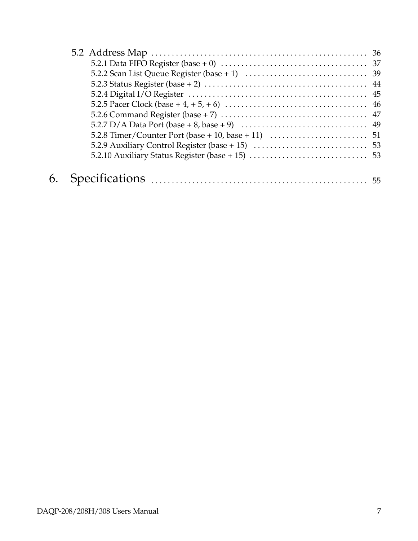| 5.2.7 D/A Data Port (base + 8, base + 9) $\ldots \ldots \ldots \ldots \ldots \ldots \ldots \ldots \ldots$ 49 |  |
|--------------------------------------------------------------------------------------------------------------|--|
|                                                                                                              |  |
|                                                                                                              |  |
|                                                                                                              |  |
|                                                                                                              |  |
|                                                                                                              |  |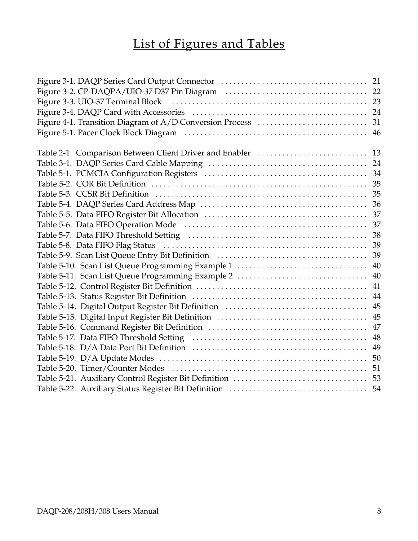## List of Figures and Tables

|                                                   | 46 |
|---------------------------------------------------|----|
|                                                   |    |
|                                                   |    |
|                                                   |    |
|                                                   |    |
|                                                   |    |
|                                                   |    |
|                                                   |    |
|                                                   |    |
|                                                   |    |
|                                                   |    |
|                                                   |    |
|                                                   | 39 |
| Table 5-10. Scan List Queue Programming Example 1 | 40 |
|                                                   | 40 |
|                                                   | 41 |
|                                                   | 44 |
|                                                   | 45 |
|                                                   | 45 |
|                                                   | 47 |
|                                                   | 48 |
|                                                   | 49 |
|                                                   | 50 |
|                                                   | 51 |
|                                                   | 53 |
|                                                   | 54 |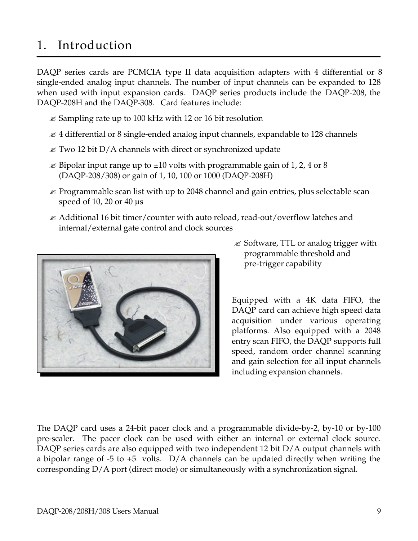## 1. Introduction

DAQP series cards are PCMCIA type II data acquisition adapters with 4 differential or 8 single-ended analog input channels. The number of input channels can be expanded to 128 when used with input expansion cards. DAQP series products include the DAQP-208, the DAQP-208H and the DAQP-308. Card features include:

- $\mathscr E$  Sampling rate up to 100 kHz with 12 or 16 bit resolution
- $\mathcal Z$  4 differential or 8 single-ended analog input channels, expandable to 128 channels
- $\mathcal Z$  Two 12 bit D/A channels with direct or synchronized update
- $\approx$  Bipolar input range up to  $\pm$ 10 volts with programmable gain of 1, 2, 4 or 8 (DAQP-208/308) or gain of 1, 10, 100 or 1000 (DAQP-208H)
- $\mathcal Z$  Programmable scan list with up to 2048 channel and gain entries, plus selectable scan speed of 10, 20 or 40 µs
- $\mathcal{L}$  Additional 16 bit timer/counter with auto reload, read-out/overflow latches and internal/external gate control and clock sources



 $\mathscr{\mathscr{E}}$  Software, TTL or analog trigger with programmable threshold and pre-trigger capability

Equipped with a 4K data FIFO, the DAQP card can achieve high speed data acquisition under various operating platforms. Also equipped with a 2048 entry scan FIFO, the DAQP supports full speed, random order channel scanning and gain selection for all input channels including expansion channels.

The DAQP card uses a 24-bit pacer clock and a programmable divide-by-2, by-10 or by-100 pre-scaler. The pacer clock can be used with either an internal or external clock source. DAQP series cards are also equipped with two independent 12 bit D/A output channels with a bipolar range of  $-5$  to  $+5$  volts. D/A channels can be updated directly when writing the corresponding D/A port (direct mode) or simultaneously with a synchronization signal.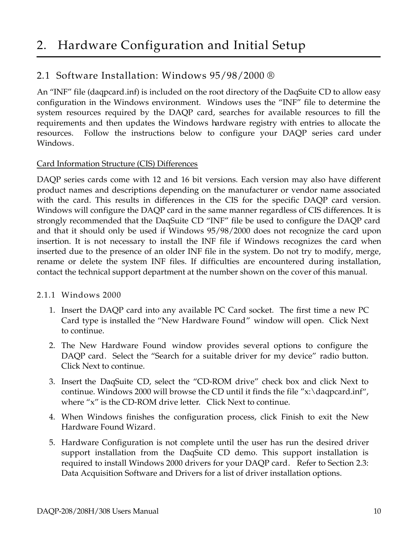#### 2.1 Software Installation: Windows 95/98/2000 ®

An "INF" file (daqpcard.inf) is included on the root directory of the DaqSuite CD to allow easy configuration in the Windows environment. Windows uses the "INF" file to determine the system resources required by the DAQP card, searches for available resources to fill the requirements and then updates the Windows hardware registry with entries to allocate the resources. Follow the instructions below to configure your DAQP series card under Windows.

#### Card Information Structure (CIS) Differences

DAQP series cards come with 12 and 16 bit versions. Each version may also have different product names and descriptions depending on the manufacturer or vendor name associated with the card. This results in differences in the CIS for the specific DAQP card version. Windows will configure the DAQP card in the same manner regardless of CIS differences. It is strongly recommended that the DaqSuite CD "INF" file be used to configure the DAQP card and that it should only be used if Windows 95/98/2000 does not recognize the card upon insertion. It is not necessary to install the INF file if Windows recognizes the card when inserted due to the presence of an older INF file in the system. Do not try to modify, merge, rename or delete the system INF files. If difficulties are encountered during installation, contact the technical support department at the number shown on the cover of this manual.

#### 2.1.1 Windows 2000

- 1. Insert the DAQP card into any available PC Card socket. The first time a new PC Card type is installed the "New Hardware Found" window will open. Click Next to continue.
- 2. The New Hardware Found window provides several options to configure the DAQP card. Select the "Search for a suitable driver for my device" radio button. Click Next to continue.
- 3. Insert the DaqSuite CD, select the "CD-ROM drive" check box and click Next to continue. Windows 2000 will browse the CD until it finds the file "x:\daqpcard.inf", where "x" is the CD-ROM drive letter. Click Next to continue.
- 4. When Windows finishes the configuration process, click Finish to exit the New Hardware Found Wizard.
- 5. Hardware Configuration is not complete until the user has run the desired driver support installation from the DaqSuite CD demo. This support installation is required to install Windows 2000 drivers for your DAQP card. Refer to Section 2.3: Data Acquisition Software and Drivers for a list of driver installation options.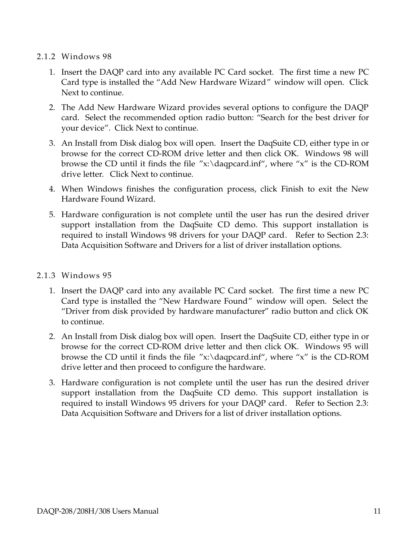#### 2.1.2 Windows 98

- 1. Insert the DAQP card into any available PC Card socket. The first time a new PC Card type is installed the "Add New Hardware Wizard" window will open. Click Next to continue.
- 2. The Add New Hardware Wizard provides several options to configure the DAQP card. Select the recommended option radio button: "Search for the best driver for your device". Click Next to continue.
- 3. An Install from Disk dialog box will open. Insert the DaqSuite CD, either type in or browse for the correct CD-ROM drive letter and then click OK. Windows 98 will browse the CD until it finds the file "x:\daqpcard.inf", where "x" is the CD-ROM drive letter. Click Next to continue.
- 4. When Windows finishes the configuration process, click Finish to exit the New Hardware Found Wizard.
- 5. Hardware configuration is not complete until the user has run the desired driver support installation from the DaqSuite CD demo. This support installation is required to install Windows 98 drivers for your DAQP card. Refer to Section 2.3: Data Acquisition Software and Drivers for a list of driver installation options.

#### 2.1.3 Windows 95

- 1. Insert the DAQP card into any available PC Card socket. The first time a new PC Card type is installed the "New Hardware Found" window will open. Select the "Driver from disk provided by hardware manufacturer" radio button and click OK to continue.
- 2. An Install from Disk dialog box will open. Insert the DaqSuite CD, either type in or browse for the correct CD-ROM drive letter and then click OK. Windows 95 will browse the CD until it finds the file "x:\daqpcard.inf", where "x" is the CD-ROM drive letter and then proceed to configure the hardware.
- 3. Hardware configuration is not complete until the user has run the desired driver support installation from the DaqSuite CD demo. This support installation is required to install Windows 95 drivers for your DAQP card. Refer to Section 2.3: Data Acquisition Software and Drivers for a list of driver installation options.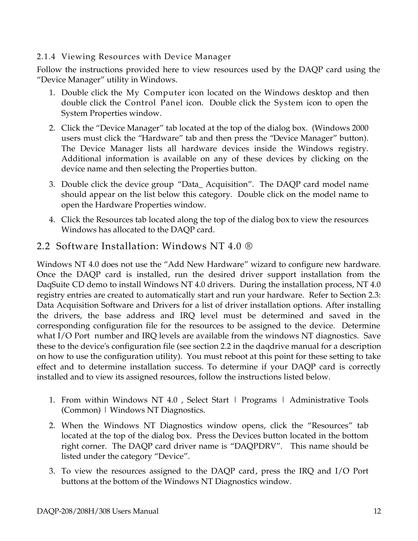#### 2.1.4 Viewing Resources with Device Manager

Follow the instructions provided here to view resources used by the DAQP card using the "Device Manager" utility in Windows.

- 1. Double click the My Computer icon located on the Windows desktop and then double click the Control Panel icon. Double click the System icon to open the System Properties window.
- 2. Click the "Device Manager" tab located at the top of the dialog box. (Windows 2000 users must click the "Hardware" tab and then press the "Device Manager" button). The Device Manager lists all hardware devices inside the Windows registry. Additional information is available on any of these devices by clicking on the device name and then selecting the Properties button.
- 3. Double click the device group "Data\_ Acquisition". The DAQP card model name should appear on the list below this category. Double click on the model name to open the Hardware Properties window.
- 4. Click the Resources tab located along the top of the dialog box to view the resources Windows has allocated to the DAQP card.

#### 2.2 Software Installation: Windows NT 4.0 ®

Windows NT 4.0 does not use the "Add New Hardware" wizard to configure new hardware. Once the DAQP card is installed, run the desired driver support installation from the DaqSuite CD demo to install Windows NT 4.0 drivers. During the installation process, NT 4.0 registry entries are created to automatically start and run your hardware. Refer to Section 2.3: Data Acquisition Software and Drivers for a list of driver installation options. After installing the drivers, the base address and IRQ level must be determined and saved in the corresponding configuration file for the resources to be assigned to the device. Determine what I/O Port number and IRQ levels are available from the windows NT diagnostics. Save these to the device's configuration file (see section 2.2 in the daqdrive manual for a description on how to use the configuration utility). You must reboot at this point for these setting to take effect and to determine installation success. To determine if your DAQP card is correctly installed and to view its assigned resources, follow the instructions listed below.

- 1. From within Windows NT 4.0, Select Start | Programs | Administrative Tools (Common) | Windows NT Diagnostics.
- 2. When the Windows NT Diagnostics window opens, click the "Resources" tab located at the top of the dialog box. Press the Devices button located in the bottom right corner. The DAQP card driver name is "DAQPDRV". This name should be listed under the category "Device".
- 3. To view the resources assigned to the DAQP card, press the IRQ and I/O Port buttons at the bottom of the Windows NT Diagnostics window.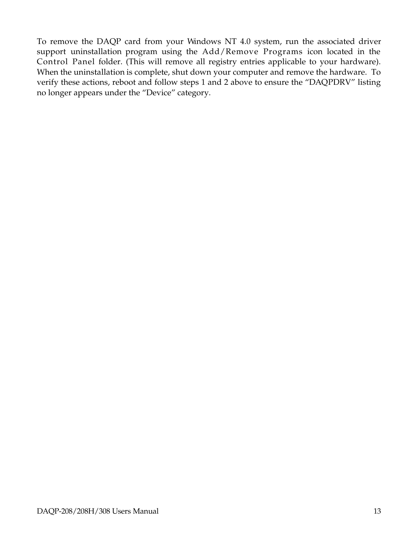To remove the DAQP card from your Windows NT 4.0 system, run the associated driver support uninstallation program using the Add/Remove Programs icon located in the Control Panel folder. (This will remove all registry entries applicable to your hardware). When the uninstallation is complete, shut down your computer and remove the hardware. To verify these actions, reboot and follow steps 1 and 2 above to ensure the "DAQPDRV" listing no longer appears under the "Device" category.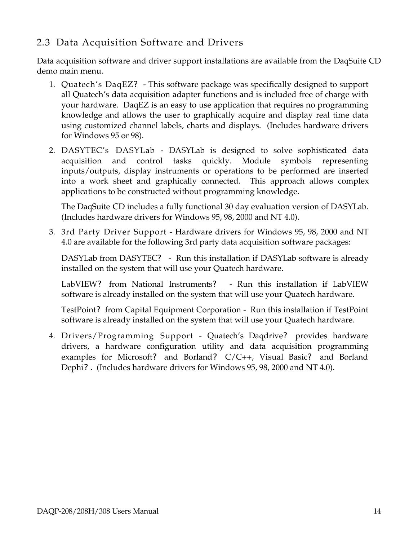#### 2.3 Data Acquisition Software and Drivers

Data acquisition software and driver support installations are available from the DaqSuite CD demo main menu.

- 1. Quatech's DaqEZ**?** This software package was specifically designed to support all Quatech's data acquisition adapter functions and is included free of charge with your hardware. DaqEZ is an easy to use application that requires no programming knowledge and allows the user to graphically acquire and display real time data using customized channel labels, charts and displays. (Includes hardware drivers for Windows 95 or 98).
- 2. DASYTEC's DASYLab DASYLab is designed to solve sophisticated data acquisition and control tasks quickly. Module symbols representing inputs/outputs, display instruments or operations to be performed are inserted into a work sheet and graphically connected. This approach allows complex applications to be constructed without programming knowledge.

The DaqSuite CD includes a fully functional 30 day evaluation version of DASYLab. (Includes hardware drivers for Windows 95, 98, 2000 and NT 4.0).

3. 3rd Party Driver Support - Hardware drivers for Windows 95, 98, 2000 and NT 4.0 are available for the following 3rd party data acquisition software packages:

DASYLab from DASYTEC? - Run this installation if DASYLab software is already installed on the system that will use your Quatech hardware.

LabVIEW? from National Instruments? - Run this installation if LabVIEW software is already installed on the system that will use your Quatech hardware.

TestPoint? from Capital Equipment Corporation - Run this installation if TestPoint software is already installed on the system that will use your Quatech hardware.

4. Drivers/Programming Support - Quatech's Daqdrive? provides hardware drivers, a hardware configuration utility and data acquisition programming examples for Microsoft? and Borland? C/C++, Visual Basic? and Borland Dephi? . (Includes hardware drivers for Windows 95, 98, 2000 and NT 4.0).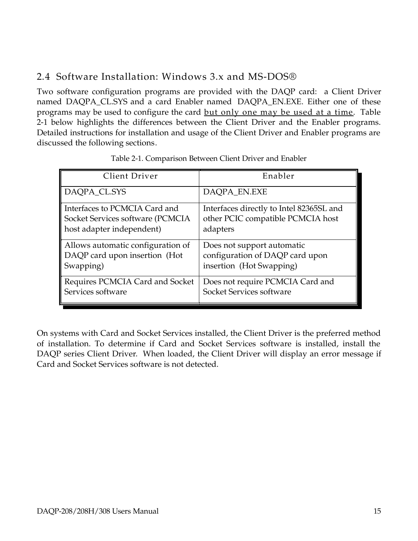#### 2.4 Software Installation: Windows 3.x and MS-DOS®

Two software configuration programs are provided with the DAQP card: a Client Driver named DAQPA\_CL.SYS and a card Enabler named DAQPA\_EN.EXE. Either one of these programs may be used to configure the card but only one may be used at a time. Table 2-1 below highlights the differences between the Client Driver and the Enabler programs. Detailed instructions for installation and usage of the Client Driver and Enabler programs are discussed the following sections.

| Client Driver                     | Enabler                                  |
|-----------------------------------|------------------------------------------|
| DAQPA_CL.SYS                      | DAQPA_EN.EXE                             |
| Interfaces to PCMCIA Card and     | Interfaces directly to Intel 82365SL and |
| Socket Services software (PCMCIA  | other PCIC compatible PCMCIA host        |
| host adapter independent)         | adapters                                 |
| Allows automatic configuration of | Does not support automatic               |
| DAQP card upon insertion (Hot     | configuration of DAQP card upon          |
| Swapping)                         | insertion (Hot Swapping)                 |
| Requires PCMCIA Card and Socket   | Does not require PCMCIA Card and         |
| Services software                 | Socket Services software                 |

Table 2-1. Comparison Between Client Driver and Enabler

On systems with Card and Socket Services installed, the Client Driver is the preferred method of installation. To determine if Card and Socket Services software is installed, install the DAQP series Client Driver. When loaded, the Client Driver will display an error message if Card and Socket Services software is not detected.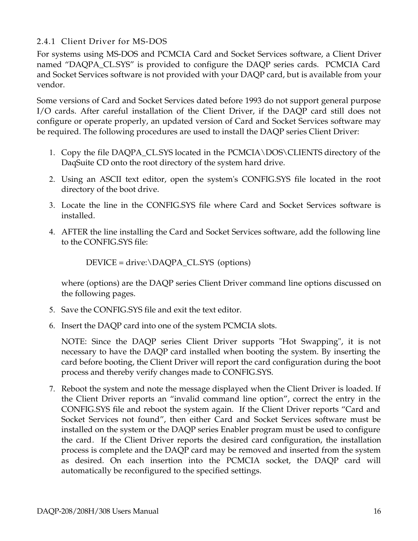#### 2.4.1 Client Driver for MS-DOS

For systems using MS-DOS and PCMCIA Card and Socket Services software, a Client Driver named "DAQPA\_CL.SYS" is provided to configure the DAQP series cards. PCMCIA Card and Socket Services software is not provided with your DAQP card, but is available from your vendor.

Some versions of Card and Socket Services dated before 1993 do not support general purpose I/O cards. After careful installation of the Client Driver, if the DAQP card still does not configure or operate properly, an updated version of Card and Socket Services software may be required. The following procedures are used to install the DAQP series Client Driver:

- 1. Copy the file DAQPA\_CL.SYS located in the PCMCIA\DOS\CLIENTS directory of the DaqSuite CD onto the root directory of the system hard drive.
- 2. Using an ASCII text editor, open the system's CONFIG.SYS file located in the root directory of the boot drive.
- 3. Locate the line in the CONFIG.SYS file where Card and Socket Services software is installed.
- 4. AFTER the line installing the Card and Socket Services software, add the following line to the CONFIG.SYS file:

DEVICE = drive:\DAQPA\_CL.SYS (options)

where (options) are the DAQP series Client Driver command line options discussed on the following pages.

- 5. Save the CONFIG.SYS file and exit the text editor.
- 6. Insert the DAQP card into one of the system PCMCIA slots.

NOTE: Since the DAQP series Client Driver supports "Hot Swapping", it is not necessary to have the DAQP card installed when booting the system. By inserting the card before booting, the Client Driver will report the card configuration during the boot process and thereby verify changes made to CONFIG.SYS.

7. Reboot the system and note the message displayed when the Client Driver is loaded. If the Client Driver reports an "invalid command line option", correct the entry in the CONFIG.SYS file and reboot the system again. If the Client Driver reports "Card and Socket Services not found", then either Card and Socket Services software must be installed on the system or the DAQP series Enabler program must be used to configure the card. If the Client Driver reports the desired card configuration, the installation process is complete and the DAQP card may be removed and inserted from the system as desired. On each insertion into the PCMCIA socket, the DAQP card will automatically be reconfigured to the specified settings.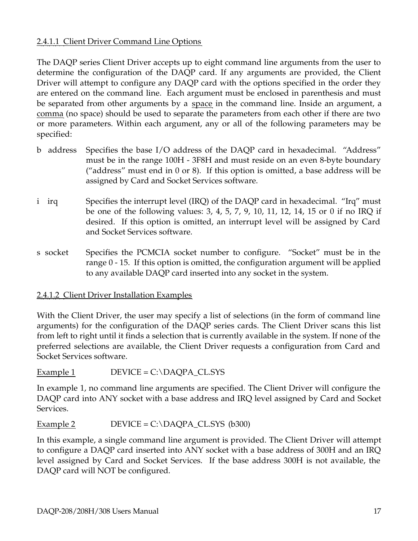#### 2.4.1.1 Client Driver Command Line Options

The DAQP series Client Driver accepts up to eight command line arguments from the user to determine the configuration of the DAQP card. If any arguments are provided, the Client Driver will attempt to configure any DAQP card with the options specified in the order they are entered on the command line. Each argument must be enclosed in parenthesis and must be separated from other arguments by a space in the command line. Inside an argument, a comma (no space) should be used to separate the parameters from each other if there are two or more parameters. Within each argument, any or all of the following parameters may be specified:

- b address Specifies the base I/O address of the DAQP card in hexadecimal. "Address" must be in the range 100H - 3F8H and must reside on an even 8-byte boundary ("address" must end in 0 or 8). If this option is omitted, a base address will be assigned by Card and Socket Services software.
- i irq Specifies the interrupt level (IRQ) of the DAQP card in hexadecimal. "Irq" must be one of the following values: 3, 4, 5, 7, 9, 10, 11, 12, 14, 15 or 0 if no IRQ if desired. If this option is omitted, an interrupt level will be assigned by Card and Socket Services software.
- s socket Specifies the PCMCIA socket number to configure. "Socket" must be in the range 0 - 15. If this option is omitted, the configuration argument will be applied to any available DAQP card inserted into any socket in the system.

#### 2.4.1.2 Client Driver Installation Examples

With the Client Driver, the user may specify a list of selections (in the form of command line arguments) for the configuration of the DAQP series cards. The Client Driver scans this list from left to right until it finds a selection that is currently available in the system. If none of the preferred selections are available, the Client Driver requests a configuration from Card and Socket Services software.

Example 1  $DEVICE = C:\D{DAQPA_CL.}$ 

In example 1, no command line arguments are specified. The Client Driver will configure the DAQP card into ANY socket with a base address and IRQ level assigned by Card and Socket Services.

#### Example 2  $DEVICE = C:\D{DAQPA\_CL.SYS}$  (b300)

In this example, a single command line argument is provided. The Client Driver will attempt to configure a DAQP card inserted into ANY socket with a base address of 300H and an IRQ level assigned by Card and Socket Services. If the base address 300H is not available, the DAQP card will NOT be configured.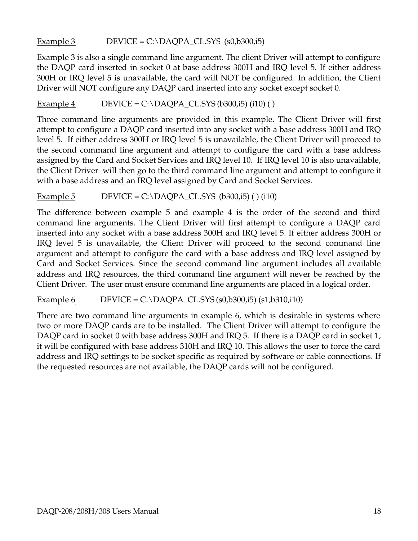Example 3  $DEVICE = C:\D{DAQPA\_CLSYS (s0,b300,i5)}$ 

Example 3 is also a single command line argument. The client Driver will attempt to configure the DAQP card inserted in socket 0 at base address 300H and IRQ level 5. If either address 300H or IRQ level 5 is unavailable, the card will NOT be configured. In addition, the Client Driver will NOT configure any DAQP card inserted into any socket except socket 0.

Example 4 DEVICE = C:\DAQPA\_CL.SYS (b300,i5) (i10) ()

Three command line arguments are provided in this example. The Client Driver will first attempt to configure a DAQP card inserted into any socket with a base address 300H and IRQ level 5. If either address 300H or IRQ level 5 is unavailable, the Client Driver will proceed to the second command line argument and attempt to configure the card with a base address assigned by the Card and Socket Services and IRQ level 10. If IRQ level 10 is also unavailable, the Client Driver will then go to the third command line argument and attempt to configure it with a base address and an IRQ level assigned by Card and Socket Services.

Example 5 DEVICE = C:\DAQPA\_CL.SYS ( $b300,i5$ ) () (i10)

The difference between example 5 and example 4 is the order of the second and third command line arguments. The Client Driver will first attempt to configure a DAQP card inserted into any socket with a base address 300H and IRQ level 5. If either address 300H or IRQ level 5 is unavailable, the Client Driver will proceed to the second command line argument and attempt to configure the card with a base address and IRQ level assigned by Card and Socket Services. Since the second command line argument includes all available address and IRQ resources, the third command line argument will never be reached by the Client Driver. The user must ensure command line arguments are placed in a logical order.

Example 6 DEVICE = C:\DAQPA\_CL.SYS (s0,b300,i5) (s1,b310,i10)

There are two command line arguments in example 6, which is desirable in systems where two or more DAQP cards are to be installed. The Client Driver will attempt to configure the DAQP card in socket 0 with base address 300H and IRQ 5. If there is a DAQP card in socket 1, it will be configured with base address 310H and IRQ 10. This allows the user to force the card address and IRQ settings to be socket specific as required by software or cable connections. If the requested resources are not available, the DAQP cards will not be configured.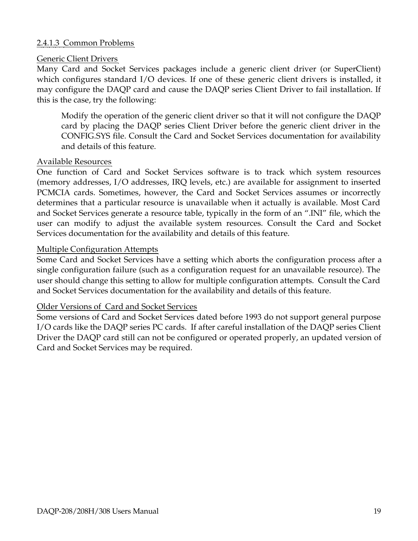#### 2.4.1.3 Common Problems

#### Generic Client Drivers

Many Card and Socket Services packages include a generic client driver (or SuperClient) which configures standard I/O devices. If one of these generic client drivers is installed, it may configure the DAQP card and cause the DAQP series Client Driver to fail installation. If this is the case, try the following:

Modify the operation of the generic client driver so that it will not configure the DAQP card by placing the DAQP series Client Driver before the generic client driver in the CONFIG.SYS file. Consult the Card and Socket Services documentation for availability and details of this feature.

#### Available Resources

One function of Card and Socket Services software is to track which system resources (memory addresses, I/O addresses, IRQ levels, etc.) are available for assignment to inserted PCMCIA cards. Sometimes, however, the Card and Socket Services assumes or incorrectly determines that a particular resource is unavailable when it actually is available. Most Card and Socket Services generate a resource table, typically in the form of an ".INI" file, which the user can modify to adjust the available system resources. Consult the Card and Socket Services documentation for the availability and details of this feature.

#### Multiple Configuration Attempts

Some Card and Socket Services have a setting which aborts the configuration process after a single configuration failure (such as a configuration request for an unavailable resource). The user should change this setting to allow for multiple configuration attempts. Consult the Card and Socket Services documentation for the availability and details of this feature.

#### Older Versions of Card and Socket Services

Some versions of Card and Socket Services dated before 1993 do not support general purpose I/O cards like the DAQP series PC cards. If after careful installation of the DAQP series Client Driver the DAQP card still can not be configured or operated properly, an updated version of Card and Socket Services may be required.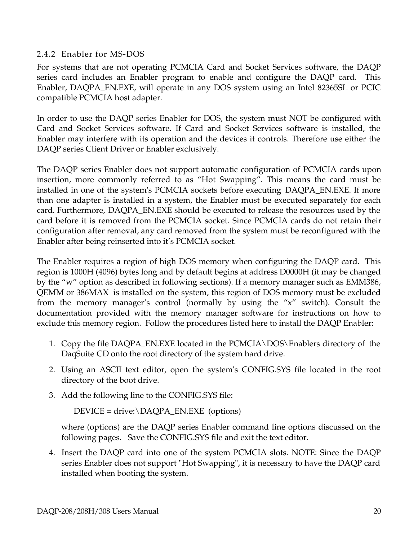#### 2.4.2 Enabler for MS-DOS

For systems that are not operating PCMCIA Card and Socket Services software, the DAQP series card includes an Enabler program to enable and configure the DAQP card. This Enabler, DAQPA\_EN.EXE, will operate in any DOS system using an Intel 82365SL or PCIC compatible PCMCIA host adapter.

In order to use the DAQP series Enabler for DOS, the system must NOT be configured with Card and Socket Services software. If Card and Socket Services software is installed, the Enabler may interfere with its operation and the devices it controls. Therefore use either the DAQP series Client Driver or Enabler exclusively.

The DAQP series Enabler does not support automatic configuration of PCMCIA cards upon insertion, more commonly referred to as "Hot Swapping". This means the card must be installed in one of the system's PCMCIA sockets before executing DAQPA\_EN.EXE. If more than one adapter is installed in a system, the Enabler must be executed separately for each card. Furthermore, DAQPA\_EN.EXE should be executed to release the resources used by the card before it is removed from the PCMCIA socket. Since PCMCIA cards do not retain their configuration after removal, any card removed from the system must be reconfigured with the Enabler after being reinserted into it's PCMCIA socket.

The Enabler requires a region of high DOS memory when configuring the DAQP card. This region is 1000H (4096) bytes long and by default begins at address D0000H (it may be changed by the "w" option as described in following sections). If a memory manager such as EMM386, QEMM or 386MAX is installed on the system, this region of DOS memory must be excluded from the memory manager's control (normally by using the "x" switch). Consult the documentation provided with the memory manager software for instructions on how to exclude this memory region. Follow the procedures listed here to install the DAQP Enabler:

- 1. Copy the file DAQPA\_EN.EXE located in the PCMCIA\DOS\Enablers directory of the DaqSuite CD onto the root directory of the system hard drive.
- 2. Using an ASCII text editor, open the system's CONFIG.SYS file located in the root directory of the boot drive.
- 3. Add the following line to the CONFIG.SYS file:

DEVICE = drive:\DAQPA\_EN.EXE (options)

where (options) are the DAQP series Enabler command line options discussed on the following pages. Save the CONFIG.SYS file and exit the text editor.

4. Insert the DAQP card into one of the system PCMCIA slots. NOTE: Since the DAQP series Enabler does not support "Hot Swapping", it is necessary to have the DAQP card installed when booting the system.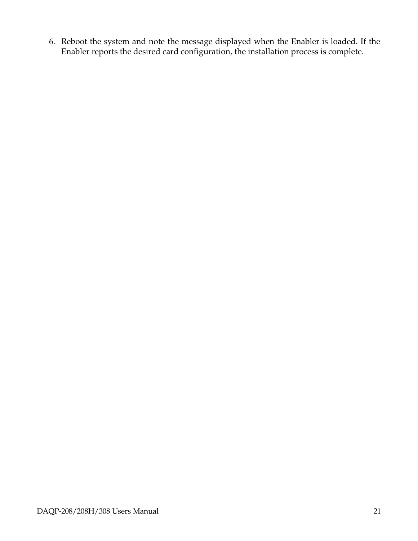6. Reboot the system and note the message displayed when the Enabler is loaded. If the Enabler reports the desired card configuration, the installation process is complete.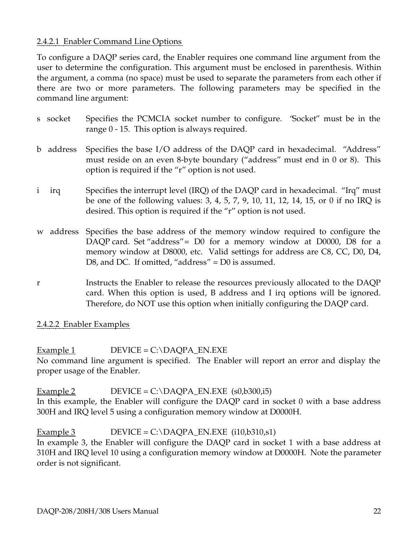#### 2.4.2.1 Enabler Command Line Options

To configure a DAQP series card, the Enabler requires one command line argument from the user to determine the configuration. This argument must be enclosed in parenthesis. Within the argument, a comma (no space) must be used to separate the parameters from each other if there are two or more parameters. The following parameters may be specified in the command line argument:

- s socket Specifies the PCMCIA socket number to configure. "Socket" must be in the range 0 - 15. This option is always required.
- b address Specifies the base I/O address of the DAQP card in hexadecimal. "Address" must reside on an even 8-byte boundary ("address" must end in 0 or 8). This option is required if the "r" option is not used.
- i irq Specifies the interrupt level (IRQ) of the DAQP card in hexadecimal. "Irq" must be one of the following values: 3, 4, 5, 7, 9, 10, 11, 12, 14, 15, or 0 if no IRQ is desired. This option is required if the "r" option is not used.
- w address Specifies the base address of the memory window required to configure the DAQP card. Set "address"= D0 for a memory window at D0000, D8 for a memory window at D8000, etc. Valid settings for address are C8, CC, D0, D4, D8, and DC. If omitted, "address" = D0 is assumed.
- r Instructs the Enabler to release the resources previously allocated to the DAQP card. When this option is used, B address and I irq options will be ignored. Therefore, do NOT use this option when initially configuring the DAQP card.
- 2.4.2.2 Enabler Examples

Example 1  $DEVICE = C:\D{DAOPA}$   $EN.EXE$ No command line argument is specified. The Enabler will report an error and display the proper usage of the Enabler.

Example 2 DEVICE =  $C:\D{DAQPA_EN.EXE}$  (s0,b300,i5) In this example, the Enabler will configure the DAQP card in socket 0 with a base address 300H and IRQ level 5 using a configuration memory window at D0000H.

Example 3 DEVICE = C:\DAQPA\_EN.EXE (i10,b310,s1) In example 3, the Enabler will configure the DAQP card in socket 1 with a base address at 310H and IRQ level 10 using a configuration memory window at D0000H. Note the parameter

order is not significant.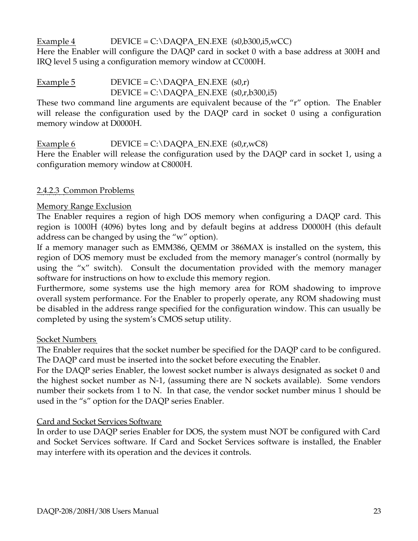Example 4 DEVICE =  $C:\D{DAQPA_EN.EXE (s0,b300,i5,wCC)}$ 

Here the Enabler will configure the DAQP card in socket 0 with a base address at 300H and IRQ level 5 using a configuration memory window at CC000H.

#### Example 5 DEVICE =  $C:\D{DAQPA_EN.EXE (s0,r)}$  $DEVICE = C:\D{DAQPA_EN.EXE (s0,r,b300,i5)}$

These two command line arguments are equivalent because of the "r" option. The Enabler will release the configuration used by the DAQP card in socket 0 using a configuration memory window at D0000H.

Example 6  $DEVICE = C:\D{DAQPA_EN.EXE (s0,r,WC8)}$ Here the Enabler will release the configuration used by the DAQP card in socket 1, using a configuration memory window at C8000H.

#### 2.4.2.3 Common Problems

#### Memory Range Exclusion

The Enabler requires a region of high DOS memory when configuring a DAQP card. This region is 1000H (4096) bytes long and by default begins at address D0000H (this default address can be changed by using the "w" option).

If a memory manager such as EMM386, QEMM or 386MAX is installed on the system, this region of DOS memory must be excluded from the memory manager's control (normally by using the "x" switch). Consult the documentation provided with the memory manager software for instructions on how to exclude this memory region.

Furthermore, some systems use the high memory area for ROM shadowing to improve overall system performance. For the Enabler to properly operate, any ROM shadowing must be disabled in the address range specified for the configuration window. This can usually be completed by using the system's CMOS setup utility.

#### Socket Numbers

The Enabler requires that the socket number be specified for the DAQP card to be configured. The DAQP card must be inserted into the socket before executing the Enabler.

For the DAQP series Enabler, the lowest socket number is always designated as socket 0 and the highest socket number as N-1, (assuming there are N sockets available). Some vendors number their sockets from 1 to N. In that case, the vendor socket number minus 1 should be used in the "s" option for the DAQP series Enabler.

#### Card and Socket Services Software

In order to use DAQP series Enabler for DOS, the system must NOT be configured with Card and Socket Services software. If Card and Socket Services software is installed, the Enabler may interfere with its operation and the devices it controls.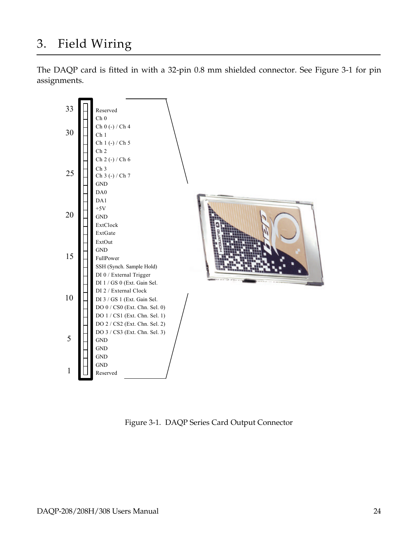## 3. Field Wiring

The DAQP card is fitted in with a 32-pin 0.8 mm shielded connector. See Figure 3-1 for pin assignments.



Figure 3-1. DAQP Series Card Output Connector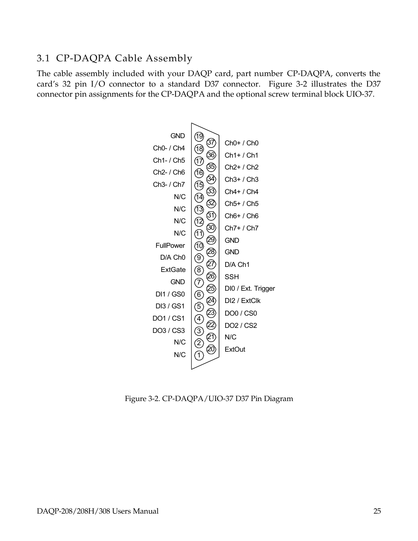#### 3.1 CP-DAQPA Cable Assembly

The cable assembly included with your DAQP card, part number CP-DAQPA, converts the card's 32 pin I/O connector to a standard D37 connector. Figure 3-2 illustrates the D37 connector pin assignments for the CP-DAQPA and the optional screw terminal block UIO-37.



Figure 3-2. CP-DAQPA/UIO-37 D37 Pin Diagram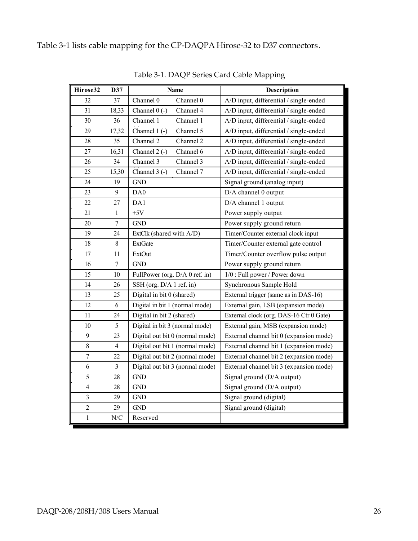| Hirose32                 | D37            | <b>Name</b>                     |                                 | <b>Description</b>                      |  |
|--------------------------|----------------|---------------------------------|---------------------------------|-----------------------------------------|--|
| 32                       | 37             | Channel 0                       | Channel 0                       | A/D input, differential / single-ended  |  |
| 31                       | 18,33          | Channel $0$ (-)                 | Channel 4                       | A/D input, differential / single-ended  |  |
| 30                       | 36             | Channel 1                       | Channel 1                       | A/D input, differential / single-ended  |  |
| 29                       | 17,32          | Channel $1(-)$                  | Channel 5                       | A/D input, differential / single-ended  |  |
| 28                       | 35             | Channel 2                       | Channel 2                       | A/D input, differential / single-ended  |  |
| 27                       | 16,31          | Channel $2$ (-)                 | Channel 6                       | A/D input, differential / single-ended  |  |
| 26                       | 34             | Channel 3                       | Channel 3                       | A/D input, differential / single-ended  |  |
| 25                       | 15,30          | Channel 3 (-)                   | Channel 7                       | A/D input, differential / single-ended  |  |
| 24                       | 19             | <b>GND</b>                      |                                 | Signal ground (analog input)            |  |
| 23                       | 9              | DA0                             |                                 | D/A channel 0 output                    |  |
| 22                       | 27             | DA1                             |                                 | D/A channel 1 output                    |  |
| 21                       | 1              | $+5V$                           |                                 | Power supply output                     |  |
| 20                       | $\overline{7}$ | <b>GND</b>                      |                                 | Power supply ground return              |  |
| 19                       | 24             | ExtClk (shared with A/D)        |                                 | Timer/Counter external clock input      |  |
| 18                       | 8              | <b>ExtGate</b>                  |                                 | Timer/Counter external gate control     |  |
| 17                       | 11             | ExtOut                          |                                 | Timer/Counter overflow pulse output     |  |
| 16                       | $\overline{7}$ | <b>GND</b>                      |                                 | Power supply ground return              |  |
| 15                       | 10             |                                 | FullPower (org. D/A 0 ref. in)  | 1/0 : Full power / Power down           |  |
| 14                       | 26             | SSH (org. D/A 1 ref. in)        |                                 | Synchronous Sample Hold                 |  |
| 13                       | 25             | Digital in bit 0 (shared)       |                                 | External trigger (same as in DAS-16)    |  |
| 12                       | 6              | Digital in bit 1 (normal mode)  |                                 | External gain, LSB (expansion mode)     |  |
| 11                       | 24             | Digital in bit 2 (shared)       |                                 | External clock (org. DAS-16 Ctr 0 Gate) |  |
| 10                       | 5              | Digital in bit 3 (normal mode)  |                                 | External gain, MSB (expansion mode)     |  |
| 9                        | 23             |                                 | Digital out bit 0 (normal mode) | External channel bit 0 (expansion mode) |  |
| $\,8\,$                  | $\overline{4}$ | Digital out bit 1 (normal mode) |                                 | External channel bit 1 (expansion mode) |  |
| $\overline{7}$           | 22             | Digital out bit 2 (normal mode) |                                 | External channel bit 2 (expansion mode) |  |
| 6                        | $\overline{3}$ | Digital out bit 3 (normal mode) |                                 | External channel bit 3 (expansion mode) |  |
| 5                        | 28             | <b>GND</b>                      |                                 | Signal ground (D/A output)              |  |
| $\overline{\mathcal{A}}$ | 28             | <b>GND</b>                      |                                 | Signal ground (D/A output)              |  |
| 3                        | 29             | <b>GND</b>                      |                                 | Signal ground (digital)                 |  |
| $\overline{2}$           | 29             | <b>GND</b>                      |                                 | Signal ground (digital)                 |  |
| $\mathbf{1}$             | N/C            | Reserved                        |                                 |                                         |  |

Table 3-1. DAQP Series Card Cable Mapping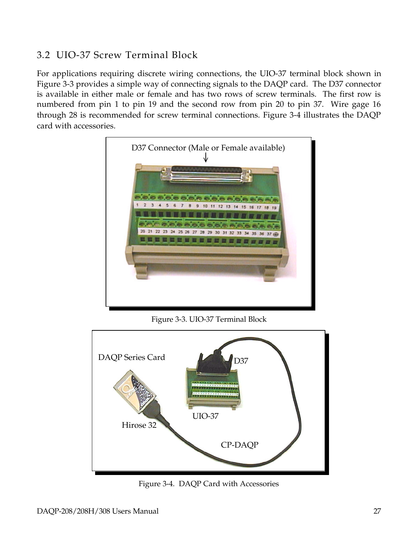#### 3.2 UIO-37 Screw Terminal Block

For applications requiring discrete wiring connections, the UIO-37 terminal block shown in Figure 3-3 provides a simple way of connecting signals to the DAQP card. The D37 connector is available in either male or female and has two rows of screw terminals. The first row is numbered from pin 1 to pin 19 and the second row from pin 20 to pin 37. Wire gage 16 through 28 is recommended for screw terminal connections. Figure 3-4 illustrates the DAQP card with accessories.



Figure 3-3. UIO-37 Terminal Block



Figure 3-4. DAQP Card with Accessories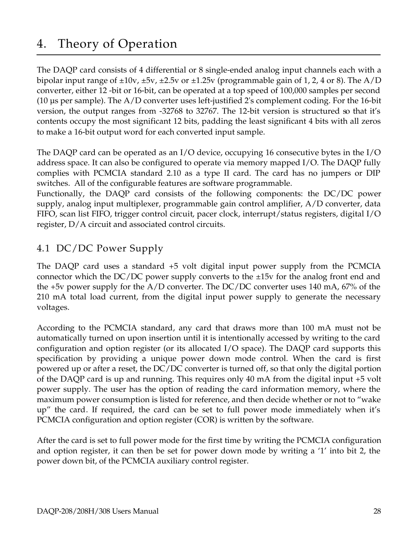## 4. Theory of Operation

The DAQP card consists of 4 differential or 8 single-ended analog input channels each with a bipolar input range of  $\pm 10v$ ,  $\pm 5v$ ,  $\pm 2.5v$  or  $\pm 1.25v$  (programmable gain of 1, 2, 4 or 8). The A/D converter, either 12 -bit or 16-bit, can be operated at a top speed of 100,000 samples per second (10 µs per sample). The A/D converter uses left-justified 2's complement coding. For the 16-bit version, the output ranges from -32768 to 32767. The 12-bit version is structured so that it's contents occupy the most significant 12 bits, padding the least significant 4 bits with all zeros to make a 16-bit output word for each converted input sample.

The DAQP card can be operated as an I/O device, occupying 16 consecutive bytes in the I/O address space. It can also be configured to operate via memory mapped I/O. The DAQP fully complies with PCMCIA standard 2.10 as a type II card. The card has no jumpers or DIP switches. All of the configurable features are software programmable.

Functionally, the DAQP card consists of the following components: the DC/DC power supply, analog input multiplexer, programmable gain control amplifier, A/D converter, data FIFO, scan list FIFO, trigger control circuit, pacer clock, interrupt/status registers, digital I/O register, D/A circuit and associated control circuits.

#### 4.1 DC/DC Power Supply

The DAQP card uses a standard +5 volt digital input power supply from the PCMCIA connector which the  $DC/DC$  power supply converts to the  $\pm 15v$  for the analog front end and the +5v power supply for the  $A/D$  converter. The DC/DC converter uses 140 mA, 67% of the 210 mA total load current, from the digital input power supply to generate the necessary voltages.

According to the PCMCIA standard, any card that draws more than 100 mA must not be automatically turned on upon insertion until it is intentionally accessed by writing to the card configuration and option register (or its allocated I/O space). The DAQP card supports this specification by providing a unique power down mode control. When the card is first powered up or after a reset, the DC/DC converter is turned off, so that only the digital portion of the DAQP card is up and running. This requires only 40 mA from the digital input +5 volt power supply. The user has the option of reading the card information memory, where the maximum power consumption is listed for reference, and then decide whether or not to "wake up" the card. If required, the card can be set to full power mode immediately when it's PCMCIA configuration and option register (COR) is written by the software.

After the card is set to full power mode for the first time by writing the PCMCIA configuration and option register, it can then be set for power down mode by writing a '1' into bit 2, the power down bit, of the PCMCIA auxiliary control register.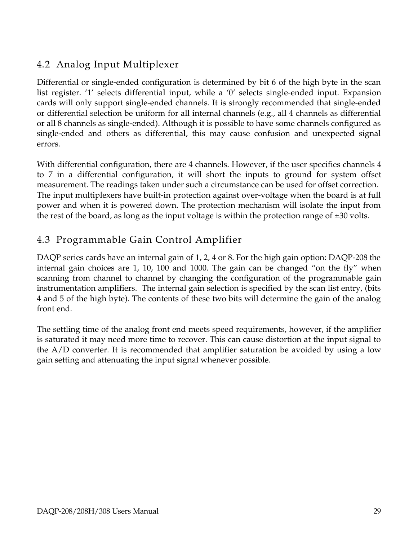#### 4.2 Analog Input Multiplexer

Differential or single-ended configuration is determined by bit 6 of the high byte in the scan list register. '1' selects differential input, while a '0' selects single-ended input. Expansion cards will only support single-ended channels. It is strongly recommended that single-ended or differential selection be uniform for all internal channels (e.g., all 4 channels as differential or all 8 channels as single-ended). Although it is possible to have some channels configured as single-ended and others as differential, this may cause confusion and unexpected signal errors.

With differential configuration, there are 4 channels. However, if the user specifies channels 4 to 7 in a differential configuration, it will short the inputs to ground for system offset measurement. The readings taken under such a circumstance can be used for offset correction. The input multiplexers have built-in protection against over-voltage when the board is at full power and when it is powered down. The protection mechanism will isolate the input from the rest of the board, as long as the input voltage is within the protection range of  $\pm 30$  volts.

#### 4.3 Programmable Gain Control Amplifier

DAQP series cards have an internal gain of 1, 2, 4 or 8. For the high gain option: DAQP-208 the internal gain choices are 1, 10, 100 and 1000. The gain can be changed "on the fly" when scanning from channel to channel by changing the configuration of the programmable gain instrumentation amplifiers. The internal gain selection is specified by the scan list entry, (bits 4 and 5 of the high byte). The contents of these two bits will determine the gain of the analog front end.

The settling time of the analog front end meets speed requirements, however, if the amplifier is saturated it may need more time to recover. This can cause distortion at the input signal to the A/D converter. It is recommended that amplifier saturation be avoided by using a low gain setting and attenuating the input signal whenever possible.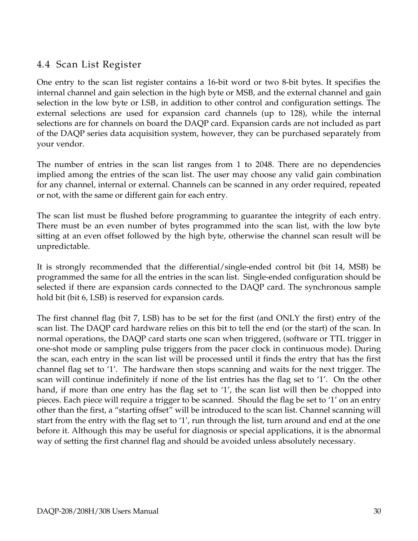#### 4.4 Scan List Register

One entry to the scan list register contains a 16-bit word or two 8-bit bytes. It specifies the internal channel and gain selection in the high byte or MSB, and the external channel and gain selection in the low byte or LSB, in addition to other control and configuration settings. The external selections are used for expansion card channels (up to 128), while the internal selections are for channels on board the DAQP card. Expansion cards are not included as part of the DAQP series data acquisition system, however, they can be purchased separately from your vendor.

The number of entries in the scan list ranges from 1 to 2048. There are no dependencies implied among the entries of the scan list. The user may choose any valid gain combination for any channel, internal or external. Channels can be scanned in any order required, repeated or not, with the same or different gain for each entry.

The scan list must be flushed before programming to guarantee the integrity of each entry. There must be an even number of bytes programmed into the scan list, with the low byte sitting at an even offset followed by the high byte, otherwise the channel scan result will be unpredictable.

It is strongly recommended that the differential/single-ended control bit (bit 14, MSB) be programmed the same for all the entries in the scan list. Single-ended configuration should be selected if there are expansion cards connected to the DAQP card. The synchronous sample hold bit (bit 6, LSB) is reserved for expansion cards.

The first channel flag (bit 7, LSB) has to be set for the first (and ONLY the first) entry of the scan list. The DAQP card hardware relies on this bit to tell the end (or the start) of the scan. In normal operations, the DAQP card starts one scan when triggered, (software or TTL trigger in one-shot mode or sampling pulse triggers from the pacer clock in continuous mode). During the scan, each entry in the scan list will be processed until it finds the entry that has the first channel flag set to '1'. The hardware then stops scanning and waits for the next trigger. The scan will continue indefinitely if none of the list entries has the flag set to '1'. On the other hand, if more than one entry has the flag set to '1', the scan list will then be chopped into pieces. Each piece will require a trigger to be scanned. Should the flag be set to '1' on an entry other than the first, a "starting offset" will be introduced to the scan list. Channel scanning will start from the entry with the flag set to '1', run through the list, turn around and end at the one before it. Although this may be useful for diagnosis or special applications, it is the abnormal way of setting the first channel flag and should be avoided unless absolutely necessary.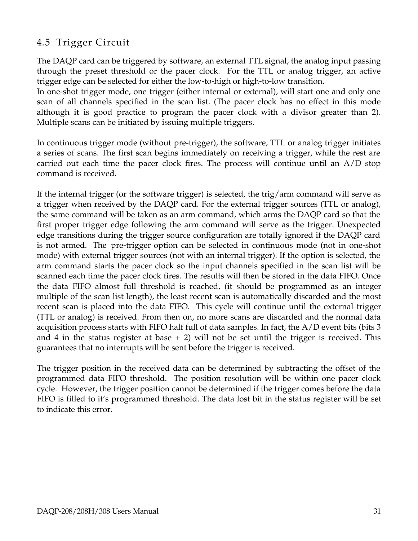#### 4.5 Trigger Circuit

The DAQP card can be triggered by software, an external TTL signal, the analog input passing through the preset threshold or the pacer clock. For the TTL or analog trigger, an active trigger edge can be selected for either the low-to-high or high-to-low transition.

In one-shot trigger mode, one trigger (either internal or external), will start one and only one scan of all channels specified in the scan list. (The pacer clock has no effect in this mode although it is good practice to program the pacer clock with a divisor greater than 2). Multiple scans can be initiated by issuing multiple triggers.

In continuous trigger mode (without pre-trigger), the software, TTL or analog trigger initiates a series of scans. The first scan begins immediately on receiving a trigger, while the rest are carried out each time the pacer clock fires. The process will continue until an A/D stop command is received.

If the internal trigger (or the software trigger) is selected, the trig/arm command will serve as a trigger when received by the DAQP card. For the external trigger sources (TTL or analog), the same command will be taken as an arm command, which arms the DAQP card so that the first proper trigger edge following the arm command will serve as the trigger. Unexpected edge transitions during the trigger source configuration are totally ignored if the DAQP card is not armed. The pre-trigger option can be selected in continuous mode (not in one-shot mode) with external trigger sources (not with an internal trigger). If the option is selected, the arm command starts the pacer clock so the input channels specified in the scan list will be scanned each time the pacer clock fires. The results will then be stored in the data FIFO. Once the data FIFO almost full threshold is reached, (it should be programmed as an integer multiple of the scan list length), the least recent scan is automatically discarded and the most recent scan is placed into the data FIFO. This cycle will continue until the external trigger (TTL or analog) is received. From then on, no more scans are discarded and the normal data acquisition process starts with FIFO half full of data samples. In fact, the A/D event bits (bits 3 and 4 in the status register at base  $+ 2$ ) will not be set until the trigger is received. This guarantees that no interrupts will be sent before the trigger is received.

The trigger position in the received data can be determined by subtracting the offset of the programmed data FIFO threshold. The position resolution will be within one pacer clock cycle. However, the trigger position cannot be determined if the trigger comes before the data FIFO is filled to it's programmed threshold. The data lost bit in the status register will be set to indicate this error.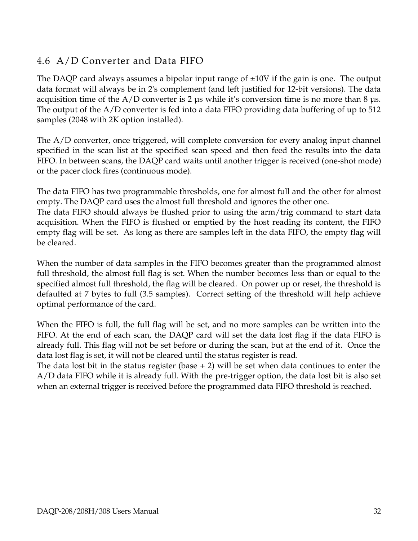#### 4.6 A/D Converter and Data FIFO

The DAQP card always assumes a bipolar input range of  $\pm 10V$  if the gain is one. The output data format will always be in 2's complement (and left justified for 12-bit versions). The data acquisition time of the  $A/D$  converter is 2 µs while it's conversion time is no more than 8 µs. The output of the A/D converter is fed into a data FIFO providing data buffering of up to 512 samples (2048 with 2K option installed).

The A/D converter, once triggered, will complete conversion for every analog input channel specified in the scan list at the specified scan speed and then feed the results into the data FIFO. In between scans, the DAQP card waits until another trigger is received (one-shot mode) or the pacer clock fires (continuous mode).

The data FIFO has two programmable thresholds, one for almost full and the other for almost empty. The DAQP card uses the almost full threshold and ignores the other one.

The data FIFO should always be flushed prior to using the arm/trig command to start data acquisition. When the FIFO is flushed or emptied by the host reading its content, the FIFO empty flag will be set. As long as there are samples left in the data FIFO, the empty flag will be cleared.

When the number of data samples in the FIFO becomes greater than the programmed almost full threshold, the almost full flag is set. When the number becomes less than or equal to the specified almost full threshold, the flag will be cleared. On power up or reset, the threshold is defaulted at 7 bytes to full (3.5 samples). Correct setting of the threshold will help achieve optimal performance of the card.

When the FIFO is full, the full flag will be set, and no more samples can be written into the FIFO. At the end of each scan, the DAQP card will set the data lost flag if the data FIFO is already full. This flag will not be set before or during the scan, but at the end of it. Once the data lost flag is set, it will not be cleared until the status register is read.

The data lost bit in the status register (base  $+ 2$ ) will be set when data continues to enter the A/D data FIFO while it is already full. With the pre-trigger option, the data lost bit is also set when an external trigger is received before the programmed data FIFO threshold is reached.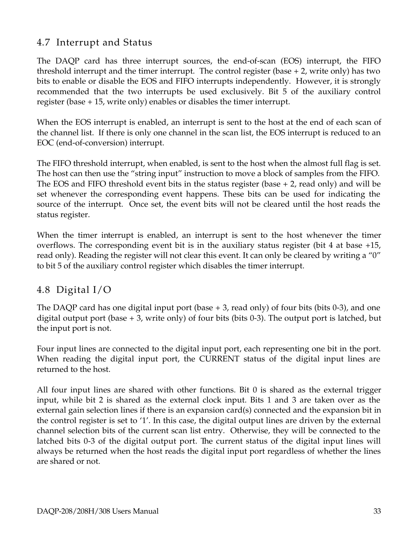#### 4.7 Interrupt and Status

The DAQP card has three interrupt sources, the end-of-scan (EOS) interrupt, the FIFO threshold interrupt and the timer interrupt. The control register (base + 2, write only) has two bits to enable or disable the EOS and FIFO interrupts independently. However, it is strongly recommended that the two interrupts be used exclusively. Bit 5 of the auxiliary control register (base + 15, write only) enables or disables the timer interrupt.

When the EOS interrupt is enabled, an interrupt is sent to the host at the end of each scan of the channel list. If there is only one channel in the scan list, the EOS interrupt is reduced to an EOC (end-of-conversion) interrupt.

The FIFO threshold interrupt, when enabled, is sent to the host when the almost full flag is set. The host can then use the "string input" instruction to move a block of samples from the FIFO. The EOS and FIFO threshold event bits in the status register (base + 2, read only) and will be set whenever the corresponding event happens. These bits can be used for indicating the source of the interrupt. Once set, the event bits will not be cleared until the host reads the status register.

When the timer interrupt is enabled, an interrupt is sent to the host whenever the timer overflows. The corresponding event bit is in the auxiliary status register (bit 4 at base +15, read only). Reading the register will not clear this event. It can only be cleared by writing a "0" to bit 5 of the auxiliary control register which disables the timer interrupt.

#### 4.8 Digital I/O

The DAQP card has one digital input port (base + 3, read only) of four bits (bits 0-3), and one digital output port (base + 3, write only) of four bits (bits 0-3). The output port is latched, but the input port is not.

Four input lines are connected to the digital input port, each representing one bit in the port. When reading the digital input port, the CURRENT status of the digital input lines are returned to the host.

All four input lines are shared with other functions. Bit 0 is shared as the external trigger input, while bit 2 is shared as the external clock input. Bits 1 and 3 are taken over as the external gain selection lines if there is an expansion card(s) connected and the expansion bit in the control register is set to '1'. In this case, the digital output lines are driven by the external channel selection bits of the current scan list entry. Otherwise, they will be connected to the latched bits 0-3 of the digital output port. The current status of the digital input lines will always be returned when the host reads the digital input port regardless of whether the lines are shared or not.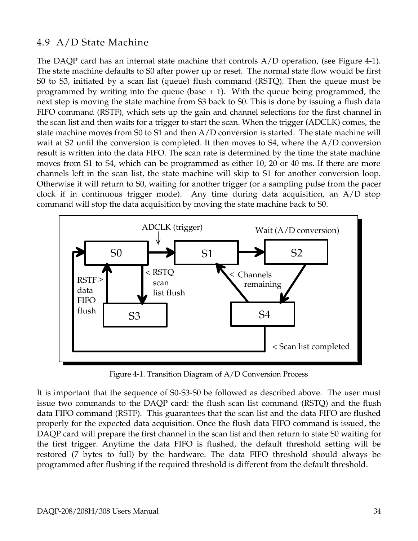#### 4.9 A/D State Machine

The DAQP card has an internal state machine that controls A/D operation, (see Figure 4-1). The state machine defaults to S0 after power up or reset. The normal state flow would be first S0 to S3, initiated by a scan list (queue) flush command (RSTQ). Then the queue must be programmed by writing into the queue (base  $+ 1$ ). With the queue being programmed, the next step is moving the state machine from S3 back to S0. This is done by issuing a flush data FIFO command (RSTF), which sets up the gain and channel selections for the first channel in the scan list and then waits for a trigger to start the scan. When the trigger (ADCLK) comes, the state machine moves from S0 to S1 and then A/D conversion is started. The state machine will wait at S2 until the conversion is completed. It then moves to S4, where the A/D conversion result is written into the data FIFO. The scan rate is determined by the time the state machine moves from S1 to S4, which can be programmed as either 10, 20 or 40 ms. If there are more channels left in the scan list, the state machine will skip to S1 for another conversion loop. Otherwise it will return to S0, waiting for another trigger (or a sampling pulse from the pacer clock if in continuous trigger mode). Any time during data acquisition, an A/D stop command will stop the data acquisition by moving the state machine back to S0.



Figure 4-1. Transition Diagram of A/D Conversion Process

It is important that the sequence of S0-S3-S0 be followed as described above. The user must issue two commands to the DAQP card: the flush scan list command (RSTQ) and the flush data FIFO command (RSTF). This guarantees that the scan list and the data FIFO are flushed properly for the expected data acquisition. Once the flush data FIFO command is issued, the DAQP card will prepare the first channel in the scan list and then return to state S0 waiting for the first trigger. Anytime the data FIFO is flushed, the default threshold setting will be restored (7 bytes to full) by the hardware. The data FIFO threshold should always be programmed after flushing if the required threshold is different from the default threshold.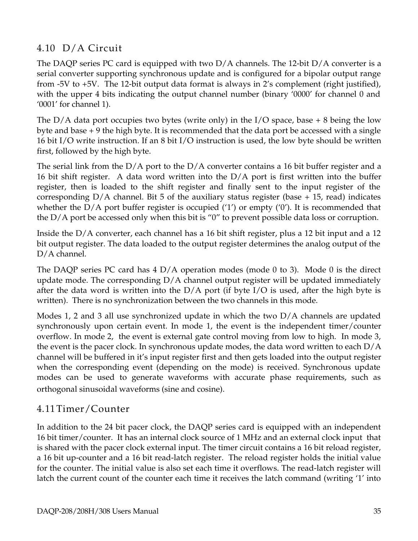#### 4.10 D/A Circuit

The DAQP series PC card is equipped with two D/A channels. The 12-bit D/A converter is a serial converter supporting synchronous update and is configured for a bipolar output range from -5V to +5V. The 12-bit output data format is always in 2's complement (right justified), with the upper 4 bits indicating the output channel number (binary '0000' for channel 0 and '0001' for channel 1).

The  $D/A$  data port occupies two bytes (write only) in the I/O space, base  $+8$  being the low byte and base + 9 the high byte. It is recommended that the data port be accessed with a single 16 bit I/O write instruction. If an 8 bit I/O instruction is used, the low byte should be written first, followed by the high byte.

The serial link from the D/A port to the D/A converter contains a 16 bit buffer register and a 16 bit shift register. A data word written into the  $D/A$  port is first written into the buffer register, then is loaded to the shift register and finally sent to the input register of the corresponding  $D/A$  channel. Bit 5 of the auxiliary status register (base  $+15$ , read) indicates whether the  $D/A$  port buffer register is occupied ('1') or empty ('0'). It is recommended that the D/A port be accessed only when this bit is "0" to prevent possible data loss or corruption.

Inside the D/A converter, each channel has a 16 bit shift register, plus a 12 bit input and a 12 bit output register. The data loaded to the output register determines the analog output of the D/A channel.

The DAQP series PC card has 4 D/A operation modes (mode 0 to 3). Mode 0 is the direct update mode. The corresponding  $D/A$  channel output register will be updated immediately after the data word is written into the  $D/A$  port (if byte I/O is used, after the high byte is written). There is no synchronization between the two channels in this mode.

Modes 1, 2 and 3 all use synchronized update in which the two  $D/A$  channels are updated synchronously upon certain event. In mode 1, the event is the independent timer/counter overflow. In mode 2, the event is external gate control moving from low to high. In mode 3, the event is the pacer clock. In synchronous update modes, the data word written to each D/A channel will be buffered in it's input register first and then gets loaded into the output register when the corresponding event (depending on the mode) is received. Synchronous update modes can be used to generate waveforms with accurate phase requirements, such as orthogonal sinusoidal waveforms (sine and cosine).

#### 4.11Timer/Counter

In addition to the 24 bit pacer clock, the DAQP series card is equipped with an independent 16 bit timer/counter. It has an internal clock source of 1 MHz and an external clock input that is shared with the pacer clock external input. The timer circuit contains a 16 bit reload register, a 16 bit up-counter and a 16 bit read-latch register. The reload register holds the initial value for the counter. The initial value is also set each time it overflows. The read-latch register will latch the current count of the counter each time it receives the latch command (writing '1' into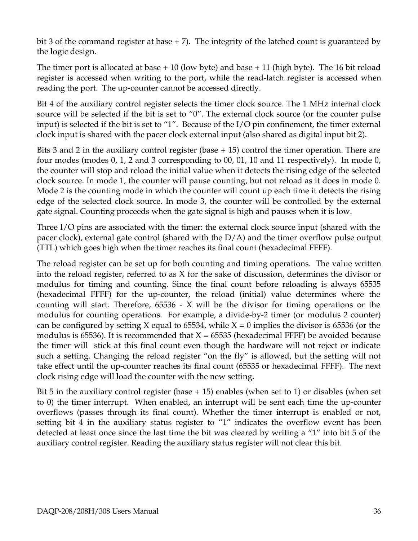bit 3 of the command register at base  $+ 7$ ). The integrity of the latched count is guaranteed by the logic design.

The timer port is allocated at base  $+10$  (low byte) and base  $+11$  (high byte). The 16 bit reload register is accessed when writing to the port, while the read-latch register is accessed when reading the port. The up-counter cannot be accessed directly.

Bit 4 of the auxiliary control register selects the timer clock source. The 1 MHz internal clock source will be selected if the bit is set to "0". The external clock source (or the counter pulse input) is selected if the bit is set to "1". Because of the I/O pin confinement, the timer external clock input is shared with the pacer clock external input (also shared as digital input bit 2).

Bits 3 and 2 in the auxiliary control register (base + 15) control the timer operation. There are four modes (modes 0, 1, 2 and 3 corresponding to 00, 01, 10 and 11 respectively). In mode 0, the counter will stop and reload the initial value when it detects the rising edge of the selected clock source. In mode 1, the counter will pause counting, but not reload as it does in mode 0. Mode 2 is the counting mode in which the counter will count up each time it detects the rising edge of the selected clock source. In mode 3, the counter will be controlled by the external gate signal. Counting proceeds when the gate signal is high and pauses when it is low.

Three I/O pins are associated with the timer: the external clock source input (shared with the pacer clock), external gate control (shared with the D/A) and the timer overflow pulse output (TTL) which goes high when the timer reaches its final count (hexadecimal FFFF).

The reload register can be set up for both counting and timing operations. The value written into the reload register, referred to as X for the sake of discussion, determines the divisor or modulus for timing and counting. Since the final count before reloading is always 65535 (hexadecimal FFFF) for the up-counter, the reload (initial) value determines where the counting will start. Therefore, 65536 - X will be the divisor for timing operations or the modulus for counting operations. For example, a divide-by-2 timer (or modulus 2 counter) can be configured by setting X equal to 65534, while  $X = 0$  implies the divisor is 65536 (or the modulus is 65536). It is recommended that  $X = 65535$  (hexadecimal FFFF) be avoided because the timer will stick at this final count even though the hardware will not reject or indicate such a setting. Changing the reload register "on the fly" is allowed, but the setting will not take effect until the up-counter reaches its final count (65535 or hexadecimal FFFF). The next clock rising edge will load the counter with the new setting.

Bit 5 in the auxiliary control register (base  $+ 15$ ) enables (when set to 1) or disables (when set to 0) the timer interrupt. When enabled, an interrupt will be sent each time the up-counter overflows (passes through its final count). Whether the timer interrupt is enabled or not, setting bit 4 in the auxiliary status register to "1" indicates the overflow event has been detected at least once since the last time the bit was cleared by writing a "1" into bit 5 of the auxiliary control register. Reading the auxiliary status register will not clear this bit.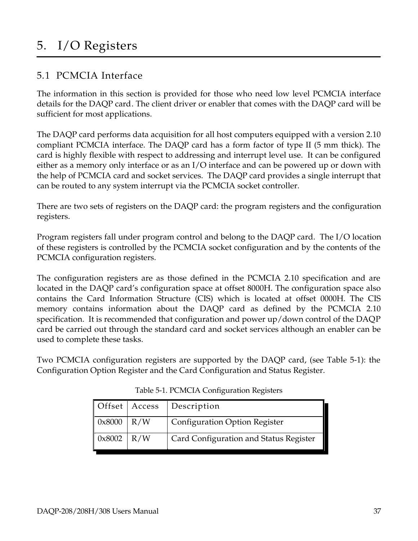## 5. I/O Registers

#### 5.1 PCMCIA Interface

The information in this section is provided for those who need low level PCMCIA interface details for the DAQP card. The client driver or enabler that comes with the DAQP card will be sufficient for most applications.

The DAQP card performs data acquisition for all host computers equipped with a version 2.10 compliant PCMCIA interface. The DAQP card has a form factor of type II (5 mm thick). The card is highly flexible with respect to addressing and interrupt level use. It can be configured either as a memory only interface or as an I/O interface and can be powered up or down with the help of PCMCIA card and socket services. The DAQP card provides a single interrupt that can be routed to any system interrupt via the PCMCIA socket controller.

There are two sets of registers on the DAQP card: the program registers and the configuration registers.

Program registers fall under program control and belong to the DAQP card. The I/O location of these registers is controlled by the PCMCIA socket configuration and by the contents of the PCMCIA configuration registers.

The configuration registers are as those defined in the PCMCIA 2.10 specification and are located in the DAQP card's configuration space at offset 8000H. The configuration space also contains the Card Information Structure (CIS) which is located at offset 0000H. The CIS memory contains information about the DAQP card as defined by the PCMCIA 2.10 specification. It is recommended that configuration and power up/down control of the DAQP card be carried out through the standard card and socket services although an enabler can be used to complete these tasks.

Two PCMCIA configuration registers are supported by the DAQP card, (see Table 5-1): the Configuration Option Register and the Card Configuration and Status Register.

|                          | Offset   Access   Description          |
|--------------------------|----------------------------------------|
| $\vert 0x8000 \vert R/W$ | <b>Configuration Option Register</b>   |
| $0x8002$ R/W             | Card Configuration and Status Register |

Table 5-1. PCMCIA Configuration Registers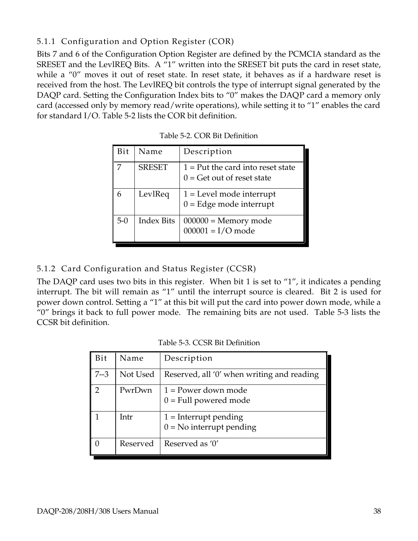#### 5.1.1 Configuration and Option Register (COR)

Bits 7 and 6 of the Configuration Option Register are defined by the PCMCIA standard as the SRESET and the LevlREQ Bits. A "1" written into the SRESET bit puts the card in reset state, while a "0" moves it out of reset state. In reset state, it behaves as if a hardware reset is received from the host. The LevlREQ bit controls the type of interrupt signal generated by the DAQP card. Setting the Configuration Index bits to "0" makes the DAQP card a memory only card (accessed only by memory read/write operations), while setting it to "1" enables the card for standard I/O. Table 5-2 lists the COR bit definition.

| Bit   | Name              | Description                                                         |
|-------|-------------------|---------------------------------------------------------------------|
|       | <b>SRESET</b>     | $1 = Put$ the card into reset state<br>$0 =$ Get out of reset state |
|       | LevlReq           | $1 =$ Level mode interrupt<br>$0 =$ Edge mode interrupt             |
| $5-0$ | <b>Index Bits</b> | $000000 =$ Memory mode<br>$000001 = I/O$ mode                       |

| Table 5-2. COR Bit Definition |  |  |  |  |  |
|-------------------------------|--|--|--|--|--|
|-------------------------------|--|--|--|--|--|

#### 5.1.2 Card Configuration and Status Register (CCSR)

The DAQP card uses two bits in this register. When bit 1 is set to "1", it indicates a pending interrupt. The bit will remain as "1" until the interrupt source is cleared. Bit 2 is used for power down control. Setting a "1" at this bit will put the card into power down mode, while a "0" brings it back to full power mode. The remaining bits are not used. Table 5-3 lists the CCSR bit definition.

| Table 5-3. CCSR Bit Definition |
|--------------------------------|
|--------------------------------|

| Bit            | Name     | Description                                           |
|----------------|----------|-------------------------------------------------------|
| $7 - 3$        | Not Used | Reserved, all '0' when writing and reading            |
| $\overline{2}$ | PwrDwn   | $1 = Power$ down mode<br>$0 =$ Full powered mode      |
|                | Intr     | $1 =$ Interrupt pending<br>$0 = No$ interrupt pending |
|                | Reserved | Reserved as '0'                                       |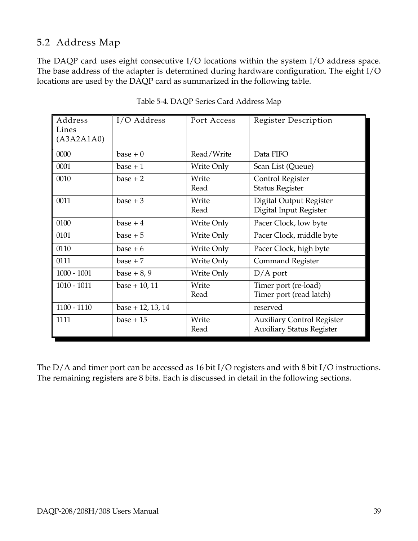#### 5.2 Address Map

The DAQP card uses eight consecutive I/O locations within the system I/O address space. The base address of the adapter is determined during hardware configuration. The eight I/O locations are used by the DAQP card as summarized in the following table.

| Address<br>Lines<br>(A3A2A1A0) | I/O Address         | Port Access   | Register Description                                                  |
|--------------------------------|---------------------|---------------|-----------------------------------------------------------------------|
| 0000                           | $base + 0$          | Read/Write    | Data FIFO                                                             |
| 0001                           | $base + 1$          | Write Only    | Scan List (Queue)                                                     |
| 0010                           | $base + 2$          | Write<br>Read | Control Register<br><b>Status Register</b>                            |
| 0011                           | $base + 3$          | Write<br>Read | Digital Output Register<br>Digital Input Register                     |
| 0100                           | $base + 4$          | Write Only    | Pacer Clock, low byte                                                 |
| 0101                           | $base + 5$          | Write Only    | Pacer Clock, middle byte                                              |
| 0110                           | $base + 6$          | Write Only    | Pacer Clock, high byte                                                |
| 0111                           | $base + 7$          | Write Only    | <b>Command Register</b>                                               |
| $1000 - 1001$                  | base $+8,9$         | Write Only    | $D/A$ port                                                            |
| $1010 - 1011$                  | $base + 10, 11$     | Write<br>Read | Timer port (re-load)<br>Timer port (read latch)                       |
| $1100 - 1110$                  | $base + 12, 13, 14$ |               | reserved                                                              |
| 1111                           | $base + 15$         | Write<br>Read | <b>Auxiliary Control Register</b><br><b>Auxiliary Status Register</b> |

Table 5-4. DAQP Series Card Address Map

The D/A and timer port can be accessed as 16 bit I/O registers and with 8 bit I/O instructions. The remaining registers are 8 bits. Each is discussed in detail in the following sections.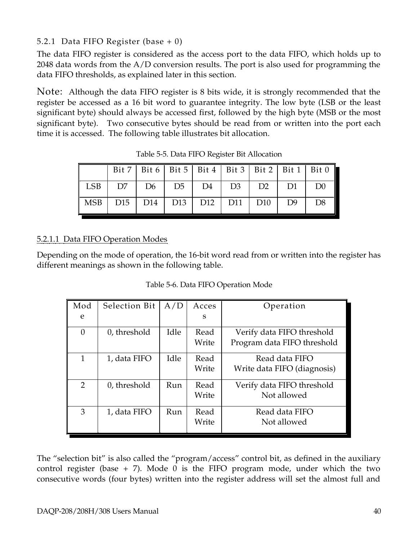#### 5.2.1 Data FIFO Register (base + 0)

The data FIFO register is considered as the access port to the data FIFO, which holds up to 2048 data words from the A/D conversion results. The port is also used for programming the data FIFO thresholds, as explained later in this section.

Note: Although the data FIFO register is 8 bits wide, it is strongly recommended that the register be accessed as a 16 bit word to guarantee integrity. The low byte (LSB or the least significant byte) should always be accessed first, followed by the high byte (MSB or the most significant byte). Two consecutive bytes should be read from or written into the port each time it is accessed. The following table illustrates bit allocation.

|                                                   |                                             |  |  |  | Bit 7   Bit 6   Bit 5   Bit 4   Bit 3   Bit 2   Bit 1   Bit 0 |
|---------------------------------------------------|---------------------------------------------|--|--|--|---------------------------------------------------------------|
|                                                   | LSB   D7   D6   D5   D4   D3   D2   D1   D0 |  |  |  |                                                               |
| MSB   D15   D14   D13   D12   D11   D10   D9   D8 |                                             |  |  |  |                                                               |

Table 5-5. Data FIFO Register Bit Allocation

#### 5.2.1.1 Data FIFO Operation Modes

Depending on the mode of operation, the 16-bit word read from or written into the register has different meanings as shown in the following table.

Table 5-6. Data FIFO Operation Mode

| Mod      | Selection Bit | A/D  | Acces         | Operation                                                 |
|----------|---------------|------|---------------|-----------------------------------------------------------|
| e        |               |      | S             |                                                           |
| $\theta$ | 0, threshold  | Idle | Read<br>Write | Verify data FIFO threshold<br>Program data FIFO threshold |
| 1        | 1, data FIFO  | Idle | Read<br>Write | Read data FIFO<br>Write data FIFO (diagnosis)             |
| 2        | 0, threshold  | Run  | Read<br>Write | Verify data FIFO threshold<br>Not allowed                 |
| 3        | 1, data FIFO  | Run  | Read<br>Write | Read data FIFO<br>Not allowed                             |

The "selection bit" is also called the "program/access" control bit, as defined in the auxiliary control register (base  $+ 7$ ). Mode 0 is the FIFO program mode, under which the two consecutive words (four bytes) written into the register address will set the almost full and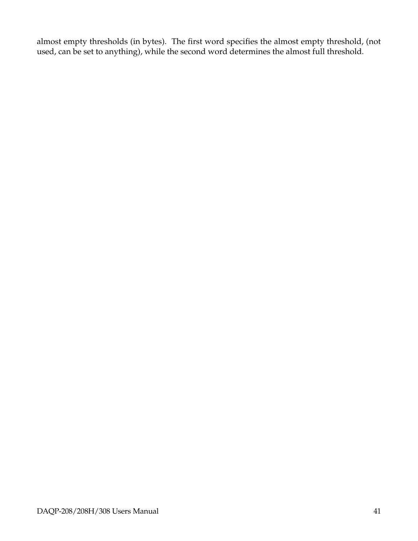almost empty thresholds (in bytes). The first word specifies the almost empty threshold, (not used, can be set to anything), while the second word determines the almost full threshold.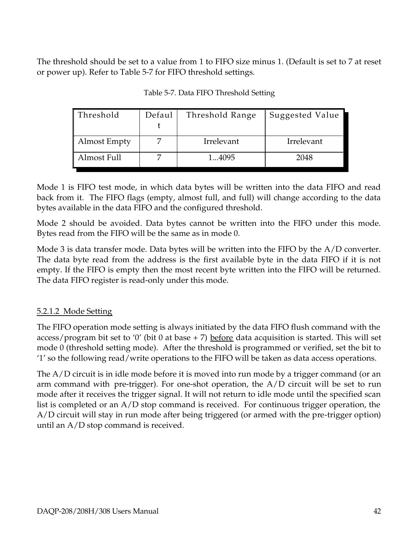The threshold should be set to a value from 1 to FIFO size minus 1. (Default is set to 7 at reset or power up). Refer to Table 5-7 for FIFO threshold settings.

| Threshold           | Defaul | Threshold Range | <b>Suggested Value</b> |
|---------------------|--------|-----------------|------------------------|
|                     |        |                 |                        |
| <b>Almost Empty</b> |        | Irrelevant      | Irrelevant             |
| Almost Full         |        | 14095           | 2048                   |

Table 5-7. Data FIFO Threshold Setting

Mode 1 is FIFO test mode, in which data bytes will be written into the data FIFO and read back from it. The FIFO flags (empty, almost full, and full) will change according to the data bytes available in the data FIFO and the configured threshold.

Mode 2 should be avoided. Data bytes cannot be written into the FIFO under this mode. Bytes read from the FIFO will be the same as in mode 0.

Mode 3 is data transfer mode. Data bytes will be written into the FIFO by the A/D converter. The data byte read from the address is the first available byte in the data FIFO if it is not empty. If the FIFO is empty then the most recent byte written into the FIFO will be returned. The data FIFO register is read-only under this mode.

#### 5.2.1.2 Mode Setting

The FIFO operation mode setting is always initiated by the data FIFO flush command with the access/program bit set to '0' (bit 0 at base  $+ 7$ ) before data acquisition is started. This will set mode 0 (threshold setting mode). After the threshold is programmed or verified, set the bit to '1' so the following read/write operations to the FIFO will be taken as data access operations.

The A/D circuit is in idle mode before it is moved into run mode by a trigger command (or an arm command with pre-trigger). For one-shot operation, the  $A/D$  circuit will be set to run mode after it receives the trigger signal. It will not return to idle mode until the specified scan list is completed or an A/D stop command is received. For continuous trigger operation, the A/D circuit will stay in run mode after being triggered (or armed with the pre-trigger option) until an A/D stop command is received.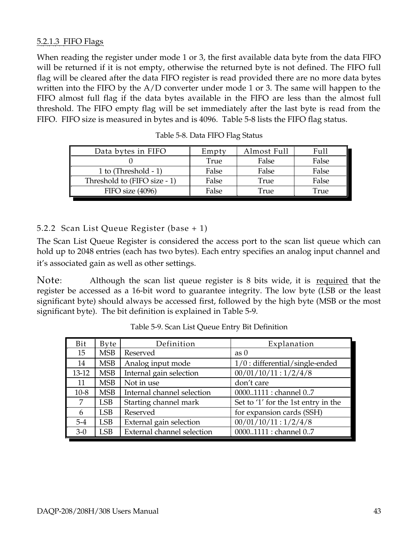#### 5.2.1.3 FIFO Flags

When reading the register under mode 1 or 3, the first available data byte from the data FIFO will be returned if it is not empty, otherwise the returned byte is not defined. The FIFO full flag will be cleared after the data FIFO register is read provided there are no more data bytes written into the FIFO by the A/D converter under mode 1 or 3. The same will happen to the FIFO almost full flag if the data bytes available in the FIFO are less than the almost full threshold. The FIFO empty flag will be set immediately after the last byte is read from the FIFO. FIFO size is measured in bytes and is 4096.Table 5-8 lists the FIFO flag status.

| Data bytes in FIFO           | Empty | Almost Full | Full  |
|------------------------------|-------|-------------|-------|
|                              | True  | False       | False |
| 1 to $(Threshold - 1)$       | False | False       | False |
| Threshold to (FIFO size - 1) | False | True        | False |
| FIFO size (4096)             | False | 'rue        | True  |

Table 5-8. Data FIFO Flag Status

#### 5.2.2 Scan List Queue Register (base + 1)

The Scan List Queue Register is considered the access port to the scan list queue which can hold up to 2048 entries (each has two bytes). Each entry specifies an analog input channel and it's associated gain as well as other settings.

Note: Although the scan list queue register is 8 bits wide, it is required that the register be accessed as a 16-bit word to guarantee integrity. The low byte (LSB or the least significant byte) should always be accessed first, followed by the high byte (MSB or the most significant byte). The bit definition is explained in Table 5-9.

| Bit       | Byte       | Definition                 | Explanation                         |
|-----------|------------|----------------------------|-------------------------------------|
| 15        | <b>MSB</b> | Reserved                   | as 0                                |
| 14        | <b>MSB</b> | Analog input mode          | $1/0$ : differential/single-ended   |
| $13 - 12$ | <b>MSB</b> | Internal gain selection    | 00/01/10/11:1/2/4/8                 |
| 11        | <b>MSB</b> | Not in use                 | don't care                          |
| $10 - 8$  | <b>MSB</b> | Internal channel selection | 00001111 : channel 07               |
| 7         | <b>LSB</b> | Starting channel mark      | Set to '1' for the 1st entry in the |
| 6         | <b>LSB</b> | Reserved                   | for expansion cards (SSH)           |
| $5 - 4$   | <b>LSB</b> | External gain selection    | 00/01/10/11:1/2/4/8                 |
| $3-0$     | <b>LSB</b> | External channel selection | 00001111 : channel 07               |

Table 5-9. Scan List Queue Entry Bit Definition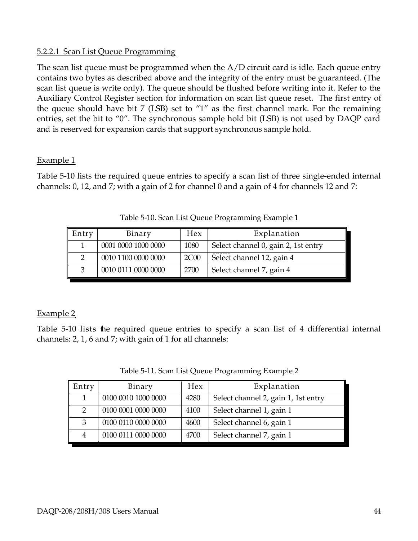#### 5.2.2.1 Scan List Queue Programming

The scan list queue must be programmed when the A/D circuit card is idle. Each queue entry contains two bytes as described above and the integrity of the entry must be guaranteed. (The scan list queue is write only). The queue should be flushed before writing into it. Refer to the Auxiliary Control Register section for information on scan list queue reset. The first entry of the queue should have bit 7 (LSB) set to "1" as the first channel mark. For the remaining entries, set the bit to "0". The synchronous sample hold bit (LSB) is not used by DAQP card and is reserved for expansion cards that support synchronous sample hold.

#### Example 1

Table 5-10 lists the required queue entries to specify a scan list of three single-ended internal channels: 0, 12, and 7; with a gain of 2 for channel 0 and a gain of 4 for channels 12 and 7:

| Entry | Binary              | Hex         | Explanation                         |
|-------|---------------------|-------------|-------------------------------------|
|       | 0001 0000 1000 0000 | 1080        | Select channel 0, gain 2, 1st entry |
|       | 0010 1100 0000 0000 | <b>2C00</b> | Select channel 12, gain 4           |
|       | 0010 0111 0000 0000 | 2700        | Select channel 7, gain 4            |

Table 5-10. Scan List Queue Programming Example 1

#### Example 2

Table 5-10 lists the required queue entries to specify a scan list of 4 differential internal channels: 2, 1, 6 and 7; with gain of 1 for all channels:

| Entry | Binary              | Hex  | Explanation                         |
|-------|---------------------|------|-------------------------------------|
|       | 0100 0010 1000 0000 | 4280 | Select channel 2, gain 1, 1st entry |
|       | 0100 0001 0000 0000 | 4100 | Select channel 1, gain 1            |
| 3     | 0100 0110 0000 0000 | 4600 | Select channel 6, gain 1            |
|       | 0100 0111 0000 0000 | 4700 | Select channel 7, gain 1            |

Table 5-11. Scan List Queue Programming Example 2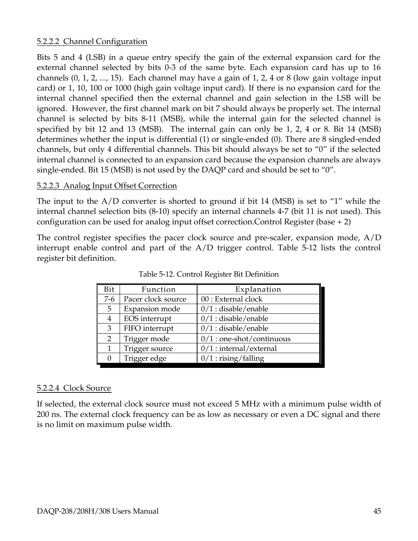#### 5.2.2.2 Channel Configuration

Bits 5 and 4 (LSB) in a queue entry specify the gain of the external expansion card for the external channel selected by bits 0-3 of the same byte. Each expansion card has up to 16 channels (0, 1, 2, ..., 15). Each channel may have a gain of 1, 2, 4 or 8 (low gain voltage input card) or 1, 10, 100 or 1000 (high gain voltage input card). If there is no expansion card for the internal channel specified then the external channel and gain selection in the LSB will be ignored. However, the first channel mark on bit 7 should always be properly set. The internal channel is selected by bits 8-11 (MSB), while the internal gain for the selected channel is specified by bit 12 and 13 (MSB). The internal gain can only be 1, 2, 4 or 8. Bit 14 (MSB) determines whether the input is differential (1) or single-ended (0). There are 8 singled-ended channels, but only 4 differential channels. This bit should always be set to "0" if the selected internal channel is connected to an expansion card because the expansion channels are always single-ended. Bit 15 (MSB) is not used by the DAQP card and should be set to "0".

#### 5.2.2.3 Analog Input Offset Correction

The input to the A/D converter is shorted to ground if bit 14 (MSB) is set to "1" while the internal channel selection bits (8-10) specify an internal channels 4-7 (bit 11 is not used). This configuration can be used for analog input offset correction.Control Register (base + 2)

The control register specifies the pacer clock source and pre-scaler, expansion mode, A/D interrupt enable control and part of the A/D trigger control. Table 5-12 lists the control register bit definition.

| Bit            | Function           | Explanation                 |
|----------------|--------------------|-----------------------------|
| $7-6$          | Pacer clock source | 00 : External clock         |
| 5              | Expansion mode     | $0/1$ : disable/enable      |
| 4              | EOS interrupt      | $0/1$ : disable/enable      |
| 3              | FIFO interrupt     | $0/1$ : disable/enable      |
| $\overline{2}$ | Trigger mode       | $0/1$ : one-shot/continuous |
|                | Trigger source     | $0/1$ : internal/external   |
|                | Trigger edge       | $0/1:$ rising/falling       |

Table 5-12. Control Register Bit Definition

#### 5.2.2.4 Clock Source

If selected, the external clock source must not exceed 5 MHz with a minimum pulse width of 200 ns. The external clock frequency can be as low as necessary or even a DC signal and there is no limit on maximum pulse width.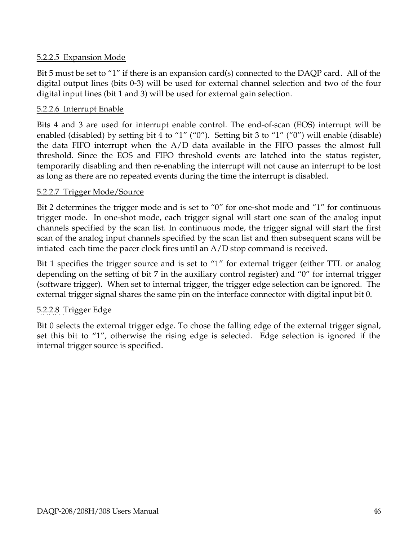#### 5.2.2.5 Expansion Mode

Bit 5 must be set to "1" if there is an expansion card(s) connected to the DAQP card. All of the digital output lines (bits 0-3) will be used for external channel selection and two of the four digital input lines (bit 1 and 3) will be used for external gain selection.

#### 5.2.2.6 Interrupt Enable

Bits 4 and 3 are used for interrupt enable control. The end-of-scan (EOS) interrupt will be enabled (disabled) by setting bit 4 to "1" ("0"). Setting bit 3 to "1" ("0") will enable (disable) the data FIFO interrupt when the A/D data available in the FIFO passes the almost full threshold. Since the EOS and FIFO threshold events are latched into the status register, temporarily disabling and then re-enabling the interrupt will not cause an interrupt to be lost as long as there are no repeated events during the time the interrupt is disabled.

#### 5.2.2.7 Trigger Mode/Source

Bit 2 determines the trigger mode and is set to "0" for one-shot mode and "1" for continuous trigger mode. In one-shot mode, each trigger signal will start one scan of the analog input channels specified by the scan list. In continuous mode, the trigger signal will start the first scan of the analog input channels specified by the scan list and then subsequent scans will be intiated each time the pacer clock fires until an A/D stop command is received.

Bit 1 specifies the trigger source and is set to "1" for external trigger (either TTL or analog depending on the setting of bit 7 in the auxiliary control register) and "0" for internal trigger (software trigger). When set to internal trigger, the trigger edge selection can be ignored. The external trigger signal shares the same pin on the interface connector with digital input bit 0.

#### 5.2.2.8 Trigger Edge

Bit 0 selects the external trigger edge. To chose the falling edge of the external trigger signal, set this bit to "1", otherwise the rising edge is selected. Edge selection is ignored if the internal trigger source is specified.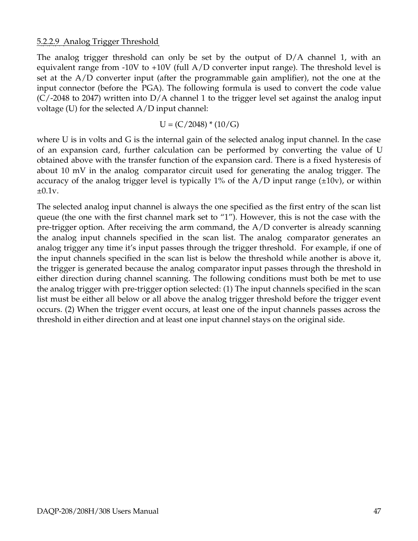#### 5.2.2.9 Analog Trigger Threshold

The analog trigger threshold can only be set by the output of  $D/A$  channel 1, with an equivalent range from -10V to +10V (full A/D converter input range). The threshold level is set at the A/D converter input (after the programmable gain amplifier), not the one at the input connector (before the PGA). The following formula is used to convert the code value  $(C/2048$  to 2047) written into D/A channel 1 to the trigger level set against the analog input voltage (U) for the selected A/D input channel:

$$
U = (C/2048) * (10/G)
$$

where U is in volts and G is the internal gain of the selected analog input channel. In the case of an expansion card, further calculation can be performed by converting the value of U obtained above with the transfer function of the expansion card. There is a fixed hysteresis of about 10 mV in the analog comparator circuit used for generating the analog trigger. The accuracy of the analog trigger level is typically 1% of the  $A/D$  input range ( $\pm 10v$ ), or within  $\pm 0.1v$ .

The selected analog input channel is always the one specified as the first entry of the scan list queue (the one with the first channel mark set to "1"). However, this is not the case with the pre-trigger option. After receiving the arm command, the  $A/D$  converter is already scanning the analog input channels specified in the scan list. The analog comparator generates an analog trigger any time it's input passes through the trigger threshold. For example, if one of the input channels specified in the scan list is below the threshold while another is above it, the trigger is generated because the analog comparator input passes through the threshold in either direction during channel scanning. The following conditions must both be met to use the analog trigger with pre-trigger option selected: (1) The input channels specified in the scan list must be either all below or all above the analog trigger threshold before the trigger event occurs. (2) When the trigger event occurs, at least one of the input channels passes across the threshold in either direction and at least one input channel stays on the original side.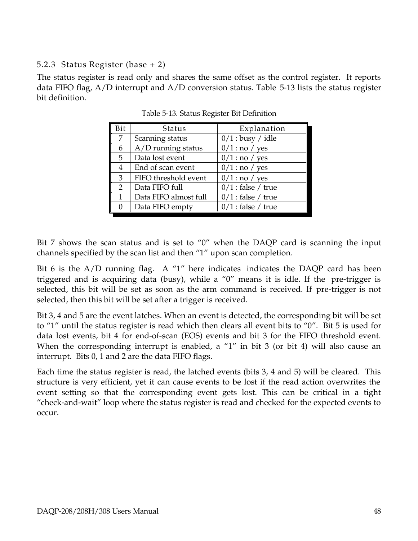#### 5.2.3 Status Register (base + 2)

The status register is read only and shares the same offset as the control register. It reports data FIFO flag, A/D interrupt and A/D conversion status. Table 5-13 lists the status register bit definition.

| Bit            | Status                | Explanation          |
|----------------|-----------------------|----------------------|
| 7              | Scanning status       | $0/1$ : busy / idle  |
| 6              | A/D running status    | $0/1$ : no / yes     |
| 5              | Data lost event       | $0/1$ : no / yes     |
| 4              | End of scan event     | $0/1$ : no / yes     |
| 3              | FIFO threshold event  | $0/1$ : no / yes     |
| $\overline{2}$ | Data FIFO full        | $0/1$ : false / true |
| 1              | Data FIFO almost full | $0/1$ : false / true |
| 0              | Data FIFO empty       | $0/1$ : false / true |

Table 5-13. Status Register Bit Definition

Bit 7 shows the scan status and is set to "0" when the DAQP card is scanning the input channels specified by the scan list and then "1" upon scan completion.

Bit 6 is the  $A/D$  running flag. A "1" here indicates indicates the DAQP card has been triggered and is acquiring data (busy), while a "0" means it is idle. If the pre-trigger is selected, this bit will be set as soon as the arm command is received. If pre-trigger is not selected, then this bit will be set after a trigger is received.

Bit 3, 4 and 5 are the event latches. When an event is detected, the corresponding bit will be set to "1" until the status register is read which then clears all event bits to "0". Bit 5 is used for data lost events, bit 4 for end-of-scan (EOS) events and bit 3 for the FIFO threshold event. When the corresponding interrupt is enabled, a "1" in bit 3 (or bit 4) will also cause an interrupt. Bits 0, 1 and 2 are the data FIFO flags.

Each time the status register is read, the latched events (bits 3, 4 and 5) will be cleared. This structure is very efficient, yet it can cause events to be lost if the read action overwrites the event setting so that the corresponding event gets lost. This can be critical in a tight "check-and-wait" loop where the status register is read and checked for the expected events to occur.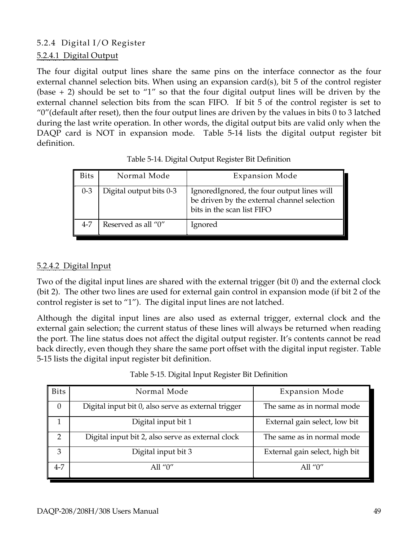#### 5.2.4 Digital I/O Register

#### 5.2.4.1 Digital Output

The four digital output lines share the same pins on the interface connector as the four external channel selection bits. When using an expansion card(s), bit 5 of the control register (base  $+ 2$ ) should be set to "1" so that the four digital output lines will be driven by the external channel selection bits from the scan FIFO. If bit 5 of the control register is set to "0" (default after reset), then the four output lines are driven by the values in bits  $0$  to 3 latched during the last write operation. In other words, the digital output bits are valid only when the DAQP card is NOT in expansion mode. Table 5-14 lists the digital output register bit definition.

| <b>Bits</b> | Normal Mode             | <b>Expansion Mode</b>                                                                                                   |
|-------------|-------------------------|-------------------------------------------------------------------------------------------------------------------------|
| $0 - 3$     | Digital output bits 0-3 | IgnoredIgnored, the four output lines will<br>be driven by the external channel selection<br>bits in the scan list FIFO |
| $4 - 7$     | Reserved as all "0"     | Ignored                                                                                                                 |

Table 5-14. Digital Output Register Bit Definition

#### 5.2.4.2 Digital Input

Two of the digital input lines are shared with the external trigger (bit 0) and the external clock (bit 2). The other two lines are used for external gain control in expansion mode (if bit 2 of the control register is set to "1"). The digital input lines are not latched.

Although the digital input lines are also used as external trigger, external clock and the external gain selection; the current status of these lines will always be returned when reading the port. The line status does not affect the digital output register. It's contents cannot be read back directly, even though they share the same port offset with the digital input register. Table 5-15 lists the digital input register bit definition.

| <b>Bits</b> | Normal Mode                                         | <b>Expansion Mode</b>          |
|-------------|-----------------------------------------------------|--------------------------------|
| 0           | Digital input bit 0, also serve as external trigger | The same as in normal mode     |
|             | Digital input bit 1                                 | External gain select, low bit  |
| 2           | Digital input bit 2, also serve as external clock   | The same as in normal mode     |
| 3           | Digital input bit 3                                 | External gain select, high bit |
| $4 - 7$     | All " $0$ "                                         | All " $0$ "                    |

Table 5-15. Digital Input Register Bit Definition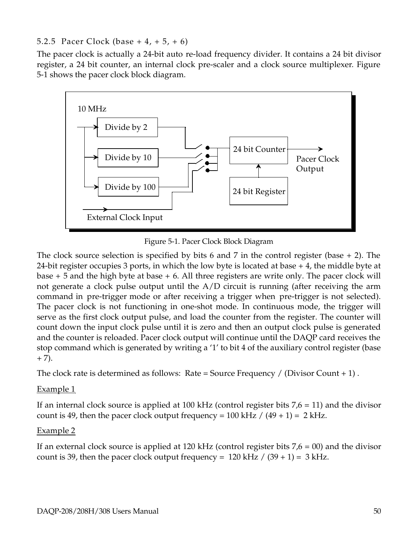#### 5.2.5 Pacer Clock (base  $+4$ ,  $+5$ ,  $+6$ )

The pacer clock is actually a 24-bit auto re-load frequency divider. It contains a 24 bit divisor register, a 24 bit counter, an internal clock pre-scaler and a clock source multiplexer. Figure 5-1 shows the pacer clock block diagram.



Figure 5-1. Pacer Clock Block Diagram

The clock source selection is specified by bits 6 and 7 in the control register (base  $+ 2$ ). The 24-bit register occupies 3 ports, in which the low byte is located at base + 4, the middle byte at base  $+5$  and the high byte at base  $+6$ . All three registers are write only. The pacer clock will not generate a clock pulse output until the A/D circuit is running (after receiving the arm command in pre-trigger mode or after receiving a trigger when pre-trigger is not selected). The pacer clock is not functioning in one-shot mode. In continuous mode, the trigger will serve as the first clock output pulse, and load the counter from the register. The counter will count down the input clock pulse until it is zero and then an output clock pulse is generated and the counter is reloaded. Pacer clock output will continue until the DAQP card receives the stop command which is generated by writing a '1' to bit 4 of the auxiliary control register (base  $+ 7).$ 

The clock rate is determined as follows: Rate = Source Frequency / (Divisor Count  $+ 1$ ).

#### Example 1

If an internal clock source is applied at 100 kHz (control register bits  $7.6 = 11$ ) and the divisor count is 49, then the pacer clock output frequency =  $100$  kHz /  $(49 + 1) = 2$  kHz.

#### Example 2

If an external clock source is applied at 120 kHz (control register bits  $7,6 = 00$ ) and the divisor count is 39, then the pacer clock output frequency =  $120$  kHz  $/$  (39 + 1) = 3 kHz.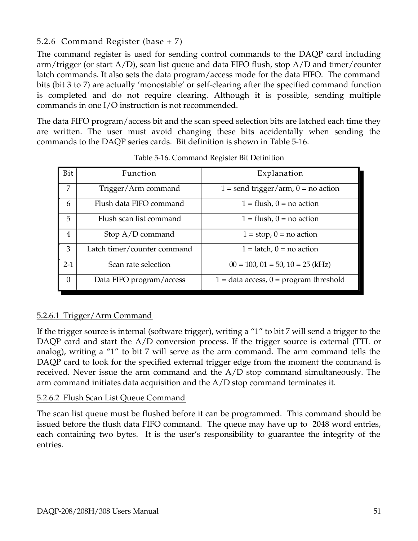#### 5.2.6 Command Register (base + 7)

The command register is used for sending control commands to the DAQP card including arm/trigger (or start A/D), scan list queue and data FIFO flush, stop A/D and timer/counter latch commands. It also sets the data program/access mode for the data FIFO. The command bits (bit 3 to 7) are actually 'monostable' or self-clearing after the specified command function is completed and do not require clearing. Although it is possible, sending multiple commands in one I/O instruction is not recommended.

The data FIFO program/access bit and the scan speed selection bits are latched each time they are written. The user must avoid changing these bits accidentally when sending the commands to the DAQP series cards. Bit definition is shown in Table 5-16.

| Bit      | Function                    | Explanation                                |
|----------|-----------------------------|--------------------------------------------|
| 7        | Trigger/Arm command         | $1 =$ send trigger/arm, $0 =$ no action    |
| 6        | Flush data FIFO command     | $1 =$ flush, $0 =$ no action               |
| 5        | Flush scan list command     | $1 =$ flush, $0 =$ no action               |
| 4        | Stop $A/D$ command          | $1 = stop, 0 = no action$                  |
| 3        | Latch timer/counter command | $1 =$ latch, $0 =$ no action               |
| $2-1$    | Scan rate selection         | $00 = 100$ , $01 = 50$ , $10 = 25$ (kHz)   |
| $\Omega$ | Data FIFO program/access    | $1 =$ data access, $0 =$ program threshold |

Table 5-16. Command Register Bit Definition

#### 5.2.6.1 Trigger/Arm Command

If the trigger source is internal (software trigger), writing a "1" to bit 7 will send a trigger to the DAQP card and start the A/D conversion process. If the trigger source is external (TTL or analog), writing a "1" to bit 7 will serve as the arm command. The arm command tells the DAQP card to look for the specified external trigger edge from the moment the command is received. Never issue the arm command and the A/D stop command simultaneously. The arm command initiates data acquisition and the A/D stop command terminates it.

#### 5.2.6.2 Flush Scan List Queue Command

The scan list queue must be flushed before it can be programmed. This command should be issued before the flush data FIFO command. The queue may have up to 2048 word entries, each containing two bytes. It is the user's responsibility to guarantee the integrity of the entries.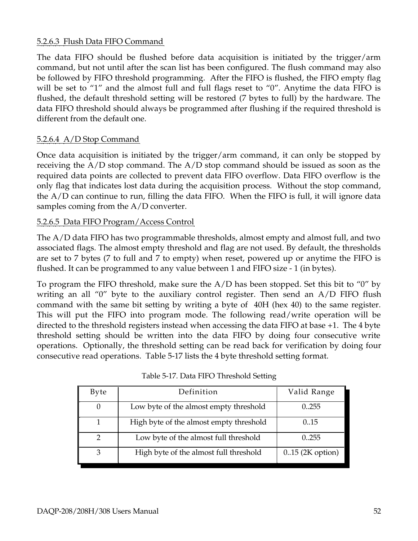#### 5.2.6.3 Flush Data FIFO Command

The data FIFO should be flushed before data acquisition is initiated by the trigger/arm command, but not until after the scan list has been configured. The flush command may also be followed by FIFO threshold programming. After the FIFO is flushed, the FIFO empty flag will be set to "1" and the almost full and full flags reset to "0". Anytime the data FIFO is flushed, the default threshold setting will be restored (7 bytes to full) by the hardware. The data FIFO threshold should always be programmed after flushing if the required threshold is different from the default one.

#### 5.2.6.4 A/D Stop Command

Once data acquisition is initiated by the trigger/arm command, it can only be stopped by receiving the A/D stop command. The A/D stop command should be issued as soon as the required data points are collected to prevent data FIFO overflow. Data FIFO overflow is the only flag that indicates lost data during the acquisition process. Without the stop command, the A/D can continue to run, filling the data FIFO. When the FIFO is full, it will ignore data samples coming from the A/D converter.

#### 5.2.6.5 Data FIFO Program/Access Control

The A/D data FIFO has two programmable thresholds, almost empty and almost full, and two associated flags. The almost empty threshold and flag are not used. By default, the thresholds are set to 7 bytes (7 to full and 7 to empty) when reset, powered up or anytime the FIFO is flushed. It can be programmed to any value between 1 and FIFO size - 1 (in bytes).

To program the FIFO threshold, make sure the A/D has been stopped. Set this bit to "0" by writing an all "0" byte to the auxiliary control register. Then send an A/D FIFO flush command with the same bit setting by writing a byte of 40H (hex 40) to the same register. This will put the FIFO into program mode. The following read/write operation will be directed to the threshold registers instead when accessing the data FIFO at base +1. The 4 byte threshold setting should be written into the data FIFO by doing four consecutive write operations. Optionally, the threshold setting can be read back for verification by doing four consecutive read operations. Table 5-17 lists the 4 byte threshold setting format.

| Byte | Definition                              | Valid Range        |
|------|-----------------------------------------|--------------------|
|      | Low byte of the almost empty threshold  | 0.255              |
|      | High byte of the almost empty threshold | 0.15               |
|      | Low byte of the almost full threshold   | 0.255              |
|      | High byte of the almost full threshold  | $0.15$ (2K option) |

Table 5-17. Data FIFO Threshold Setting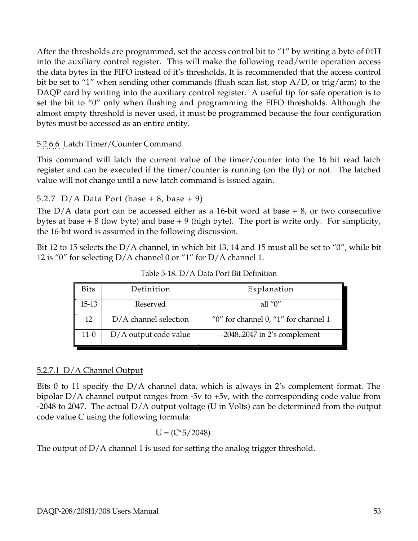After the thresholds are programmed, set the access control bit to "1" by writing a byte of 01H into the auxiliary control register. This will make the following read/write operation access the data bytes in the FIFO instead of it's thresholds. It is recommended that the access control bit be set to "1" when sending other commands (flush scan list, stop A/D, or trig/arm) to the DAQP card by writing into the auxiliary control register. A useful tip for safe operation is to set the bit to "0" only when flushing and programming the FIFO thresholds. Although the almost empty threshold is never used, it must be programmed because the four configuration bytes must be accessed as an entire entity.

#### 5.2.6.6 Latch Timer/Counter Command

This command will latch the current value of the timer/counter into the 16 bit read latch register and can be executed if the timer/counter is running (on the fly) or not. The latched value will not change until a new latch command is issued again.

#### 5.2.7 D/A Data Port (base  $+ 8$ , base  $+ 9$ )

The  $D/A$  data port can be accessed either as a 16-bit word at base  $+ 8$ , or two consecutive bytes at base  $+ 8$  (low byte) and base  $+ 9$  (high byte). The port is write only. For simplicity, the 16-bit word is assumed in the following discussion.

Bit 12 to 15 selects the D/A channel, in which bit 13, 14 and 15 must all be set to "0", while bit 12 is "0" for selecting D/A channel 0 or "1" for D/A channel 1.

| <b>Bits</b> | Definition              | Explanation                             |
|-------------|-------------------------|-----------------------------------------|
| 15-13       | Reserved                | all " $0$ "                             |
| 12          | $D/A$ channel selection | "0" for channel $0$ , "1" for channel 1 |
| $11-0$      | D/A output code value   | $-20482047$ in 2's complement           |

Table 5-18. D/A Data Port Bit Definition

#### 5.2.7.1 D/A Channel Output

Bits 0 to 11 specify the D/A channel data, which is always in 2's complement format. The bipolar D/A channel output ranges from -5v to +5v, with the corresponding code value from -2048 to 2047. The actual D/A output voltage (U in Volts) can be determined from the output code value C using the following formula:

$$
U = (C^*5/2048)
$$

The output of  $D/A$  channel 1 is used for setting the analog trigger threshold.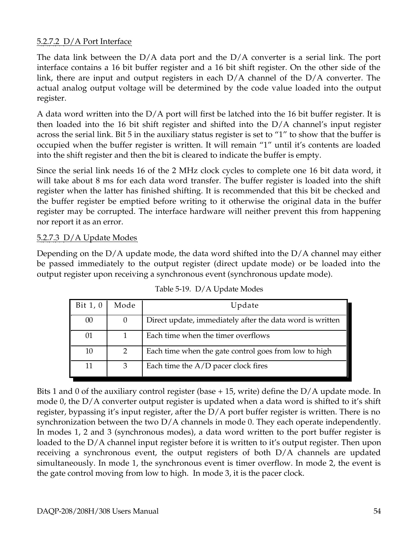#### 5.2.7.2 D/A Port Interface

The data link between the  $D/A$  data port and the  $D/A$  converter is a serial link. The port interface contains a 16 bit buffer register and a 16 bit shift register. On the other side of the link, there are input and output registers in each D/A channel of the D/A converter. The actual analog output voltage will be determined by the code value loaded into the output register.

A data word written into the  $D/A$  port will first be latched into the 16 bit buffer register. It is then loaded into the 16 bit shift register and shifted into the D/A channel's input register across the serial link. Bit 5 in the auxiliary status register is set to "1" to show that the buffer is occupied when the buffer register is written. It will remain "1" until it's contents are loaded into the shift register and then the bit is cleared to indicate the buffer is empty.

Since the serial link needs 16 of the 2 MHz clock cycles to complete one 16 bit data word, it will take about 8 ms for each data word transfer. The buffer register is loaded into the shift register when the latter has finished shifting. It is recommended that this bit be checked and the buffer register be emptied before writing to it otherwise the original data in the buffer register may be corrupted. The interface hardware will neither prevent this from happening nor report it as an error.

#### 5.2.7.3 D/A Update Modes

Depending on the D/A update mode, the data word shifted into the D/A channel may either be passed immediately to the output register (direct update mode) or be loaded into the output register upon receiving a synchronous event (synchronous update mode).

| Bit 1, 0 | Mode          | Update                                                    |
|----------|---------------|-----------------------------------------------------------|
| 00       |               | Direct update, immediately after the data word is written |
| 01       |               | Each time when the timer overflows                        |
| 10       | $\mathcal{P}$ | Each time when the gate control goes from low to high     |
| 11       | 3             | Each time the $A/D$ pacer clock fires                     |

Table 5-19. D/A Update Modes

Bits 1 and 0 of the auxiliary control register (base  $+15$ , write) define the D/A update mode. In mode 0, the D/A converter output register is updated when a data word is shifted to it's shift register, bypassing it's input register, after the D/A port buffer register is written. There is no synchronization between the two  $D/A$  channels in mode 0. They each operate independently. In modes 1, 2 and 3 (synchronous modes), a data word written to the port buffer register is loaded to the D/A channel input register before it is written to it's output register. Then upon receiving a synchronous event, the output registers of both D/A channels are updated simultaneously. In mode 1, the synchronous event is timer overflow. In mode 2, the event is the gate control moving from low to high. In mode 3, it is the pacer clock.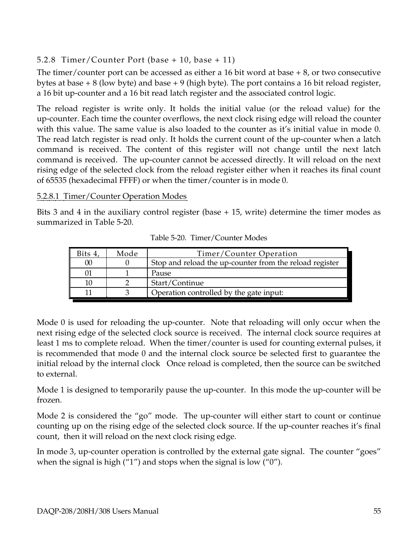#### 5.2.8 Timer/Counter Port (base + 10, base + 11)

The timer/counter port can be accessed as either a 16 bit word at base  $+8$ , or two consecutive bytes at base  $+8$  (low byte) and base  $+9$  (high byte). The port contains a 16 bit reload register, a 16 bit up-counter and a 16 bit read latch register and the associated control logic.

The reload register is write only. It holds the initial value (or the reload value) for the up-counter. Each time the counter overflows, the next clock rising edge will reload the counter with this value. The same value is also loaded to the counter as it's initial value in mode 0. The read latch register is read only. It holds the current count of the up-counter when a latch command is received. The content of this register will not change until the next latch command is received. The up-counter cannot be accessed directly. It will reload on the next rising edge of the selected clock from the reload register either when it reaches its final count of 65535 (hexadecimal FFFF) or when the timer/counter is in mode 0.

#### 5.2.8.1 Timer/Counter Operation Modes

Bits 3 and 4 in the auxiliary control register (base + 15, write) determine the timer modes as summarized in Table 5-20.

| Mode | Timer/Counter Operation                                 |
|------|---------------------------------------------------------|
|      | Stop and reload the up-counter from the reload register |
|      | Pause                                                   |
|      | Start/Continue                                          |
|      | Operation controlled by the gate input:                 |
|      |                                                         |

Table 5-20. Timer/Counter Modes

Mode 0 is used for reloading the up-counter. Note that reloading will only occur when the next rising edge of the selected clock source is received. The internal clock source requires at least 1 ms to complete reload. When the timer/counter is used for counting external pulses, it is recommended that mode 0 and the internal clock source be selected first to guarantee the initial reload by the internal clock Once reload is completed, then the source can be switched to external.

Mode 1 is designed to temporarily pause the up-counter. In this mode the up-counter will be frozen.

Mode 2 is considered the "go" mode. The up-counter will either start to count or continue counting up on the rising edge of the selected clock source. If the up-counter reaches it's final count, then it will reload on the next clock rising edge.

In mode 3, up-counter operation is controlled by the external gate signal. The counter "goes" when the signal is high ("1") and stops when the signal is low ("0").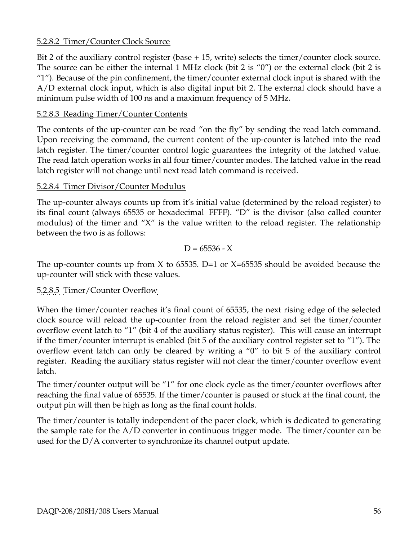#### 5.2.8.2 Timer/Counter Clock Source

Bit 2 of the auxiliary control register (base + 15, write) selects the timer/counter clock source. The source can be either the internal 1 MHz clock (bit 2 is "0") or the external clock (bit 2 is "1"). Because of the pin confinement, the timer/counter external clock input is shared with the A/D external clock input, which is also digital input bit 2. The external clock should have a minimum pulse width of 100 ns and a maximum frequency of 5 MHz.

#### 5.2.8.3 Reading Timer/Counter Contents

The contents of the up-counter can be read "on the fly" by sending the read latch command. Upon receiving the command, the current content of the up-counter is latched into the read latch register. The timer/counter control logic guarantees the integrity of the latched value. The read latch operation works in all four timer/counter modes. The latched value in the read latch register will not change until next read latch command is received.

#### 5.2.8.4 Timer Divisor/Counter Modulus

The up-counter always counts up from it's initial value (determined by the reload register) to its final count (always 65535 or hexadecimal FFFF). "D" is the divisor (also called counter modulus) of the timer and "X" is the value written to the reload register. The relationship between the two is as follows:

$$
D = 65536 - X
$$

The up-counter counts up from X to 65535. D=1 or  $X=65535$  should be avoided because the up-counter will stick with these values.

#### 5.2.8.5 Timer/Counter Overflow

When the timer/counter reaches it's final count of 65535, the next rising edge of the selected clock source will reload the up-counter from the reload register and set the timer/counter overflow event latch to "1" (bit 4 of the auxiliary status register). This will cause an interrupt if the timer/counter interrupt is enabled (bit 5 of the auxiliary control register set to "1"). The overflow event latch can only be cleared by writing a "0" to bit 5 of the auxiliary control register. Reading the auxiliary status register will not clear the timer/counter overflow event latch.

The timer/counter output will be "1" for one clock cycle as the timer/counter overflows after reaching the final value of 65535. If the timer/counter is paused or stuck at the final count, the output pin will then be high as long as the final count holds.

The timer/counter is totally independent of the pacer clock, which is dedicated to generating the sample rate for the A/D converter in continuous trigger mode. The timer/counter can be used for the D/A converter to synchronize its channel output update.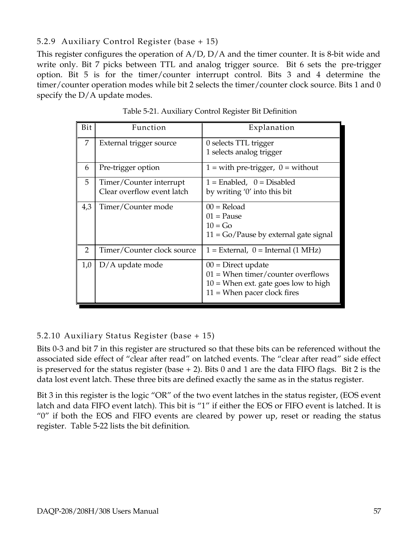#### 5.2.9 Auxiliary Control Register (base + 15)

This register configures the operation of A/D, D/A and the timer counter. It is 8-bit wide and write only. Bit 7 picks between TTL and analog trigger source. Bit 6 sets the pre-trigger option. Bit 5 is for the timer/counter interrupt control. Bits 3 and 4 determine the timer/counter operation modes while bit 2 selects the timer/counter clock source. Bits 1 and 0 specify the D/A update modes.

| Bit            | Function                   | Explanation                                                 |
|----------------|----------------------------|-------------------------------------------------------------|
| 7              | External trigger source    | 0 selects TTL trigger                                       |
|                |                            | 1 selects analog trigger                                    |
| 6              | Pre-trigger option         | $1 =$ with pre-trigger, $0 =$ without                       |
| 5              | Timer/Counter interrupt    | $1 =$ Enabled, $0 =$ Disabled                               |
|                | Clear overflow event latch | by writing '0' into this bit                                |
| 4,3            | Timer/Counter mode         | $00 =$ Reload                                               |
|                |                            | $01$ = Pause                                                |
|                |                            | $10 = Go$                                                   |
|                |                            | $11 = Go$ /Pause by external gate signal                    |
| $\overline{2}$ | Timer/Counter clock source | $1 =$ External, $0 =$ Internal (1 MHz)                      |
| 1,0            | $D/A$ update mode          | $00 =$ Direct update<br>$01 =$ When timer/counter overflows |
|                |                            | $10 =$ When ext. gate goes low to high                      |
|                |                            | $11 =$ When pacer clock fires                               |

Table 5-21. Auxiliary Control Register Bit Definition

#### 5.2.10 Auxiliary Status Register (base + 15)

Bits 0-3 and bit 7 in this register are structured so that these bits can be referenced without the associated side effect of "clear after read" on latched events. The "clear after read" side effect is preserved for the status register (base  $+ 2$ ). Bits 0 and 1 are the data FIFO flags. Bit 2 is the data lost event latch. These three bits are defined exactly the same as in the status register.

Bit 3 in this register is the logic "OR" of the two event latches in the status register, (EOS event latch and data FIFO event latch). This bit is "1" if either the EOS or FIFO event is latched. It is "0" if both the EOS and FIFO events are cleared by power up, reset or reading the status register. Table 5-22 lists the bit definition.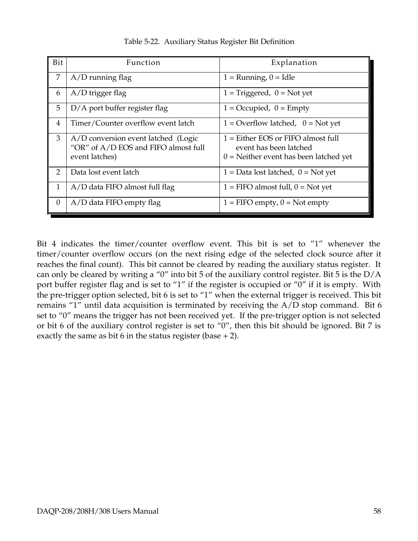| Bit      | Function                                                                                      | Explanation                                                                                                |
|----------|-----------------------------------------------------------------------------------------------|------------------------------------------------------------------------------------------------------------|
| 7        | $A/D$ running flag                                                                            | $1 =$ Running, $0 =$ Idle                                                                                  |
| 6        | $A/D$ trigger flag                                                                            | $1 = Triggered$ , $0 = Not$ yet                                                                            |
| 5        | D/A port buffer register flag                                                                 | $1 = Occupied, 0 = Empty$                                                                                  |
| 4        | Timer/Counter overflow event latch                                                            | $1 =$ Overflow latched, $0 =$ Not yet                                                                      |
| 3        | A/D conversion event latched (Logic<br>"OR" of A/D EOS and FIFO almost full<br>event latches) | $1 =$ Either EOS or FIFO almost full<br>event has been latched<br>$0 =$ Neither event has been latched yet |
| 2        | Data lost event latch                                                                         | $1 =$ Data lost latched, $0 =$ Not yet                                                                     |
| 1        | A/D data FIFO almost full flag                                                                | $1 =$ FIFO almost full, $0 =$ Not yet                                                                      |
| $\theta$ | $A/D$ data FIFO empty flag                                                                    | $1 =$ FIFO empty, $0 =$ Not empty                                                                          |

Table 5-22. Auxiliary Status Register Bit Definition

Bit 4 indicates the timer/counter overflow event. This bit is set to "1" whenever the timer/counter overflow occurs (on the next rising edge of the selected clock source after it reaches the final count). This bit cannot be cleared by reading the auxiliary status register. It can only be cleared by writing a "0" into bit 5 of the auxiliary control register. Bit 5 is the D/A port buffer register flag and is set to "1" if the register is occupied or "0" if it is empty. With the pre-trigger option selected, bit 6 is set to "1" when the external trigger is received. This bit remains "1" until data acquisition is terminated by receiving the A/D stop command. Bit 6 set to "0" means the trigger has not been received yet. If the pre-trigger option is not selected or bit 6 of the auxiliary control register is set to "0", then this bit should be ignored. Bit 7 is exactly the same as bit 6 in the status register (base  $+ 2$ ).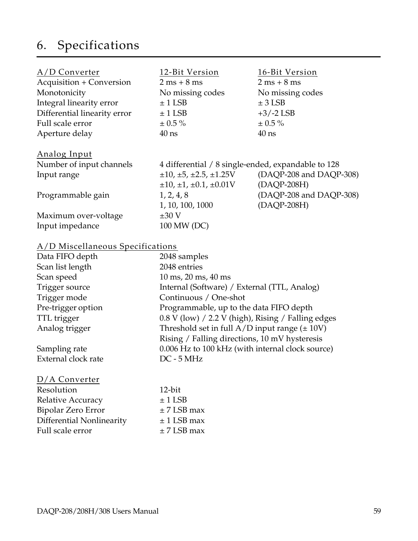## 6. Specifications

| $A/D$ Converter                 | 12-Bit Version                                     | 16-Bit Version                |
|---------------------------------|----------------------------------------------------|-------------------------------|
| <b>Acquisition + Conversion</b> | $2 ms + 8 ms$                                      | $2 \text{ ms} + 8 \text{ ms}$ |
| Monotonicity                    | No missing codes                                   | No missing codes              |
| Integral linearity error        | $± 1$ LSB                                          | $± 3$ LSB                     |
| Differential linearity error    | $± 1$ LSB                                          | $+3/-2$ LSB                   |
| Full scale error                | $\pm$ 0.5 %                                        | $\pm$ 0.5 %                   |
| Aperture delay                  | $40$ ns                                            | $40$ ns                       |
| Analog Input                    |                                                    |                               |
| Number of input channels        | 4 differential / 8 single-ended, expandable to 128 |                               |
| Input range                     | $\pm 10, \pm 5, \pm 2.5, \pm 1.25$ V               | (DAQP-208 and DAQP-308)       |
|                                 | $\pm 10, \pm 1, \pm 0.1, \pm 0.01$ V               | (DAQP-208H)                   |
| Programmable gain               | 1, 2, 4, 8                                         | (DAQP-208 and DAQP-308)       |
|                                 | 1, 10, 100, 1000                                   | (DAQP-208H)                   |
| Maximum over-voltage            | $\pm 30$ V                                         |                               |
| Input impedance                 | 100 MW (DC)                                        |                               |

#### A/D Miscellaneous Specifications

| Data FIFO depth     | 2048 samples                                         |
|---------------------|------------------------------------------------------|
| Scan list length    | 2048 entries                                         |
| Scan speed          | $10 \text{ ms}, 20 \text{ ms}, 40 \text{ ms}$        |
| Trigger source      | Internal (Software) / External (TTL, Analog)         |
| Trigger mode        | Continuous / One-shot                                |
| Pre-trigger option  | Programmable, up to the data FIFO depth              |
| TTL trigger         | $0.8$ V (low) / 2.2 V (high), Rising / Falling edges |
| Analog trigger      | Threshold set in full $A/D$ input range ( $\pm$ 10V) |
|                     | Rising / Falling directions, 10 mV hysteresis        |
| Sampling rate       | 0.006 Hz to 100 kHz (with internal clock source)     |
| External clock rate | $DC - 5 MHz$                                         |
|                     |                                                      |

| $D/A$ Converter           |                 |
|---------------------------|-----------------|
| Resolution                | $12$ -bit       |
| Relative Accuracy         | $± 1$ LSB       |
| Bipolar Zero Error        | $\pm$ 7 LSB max |
| Differential Nonlinearity | $± 1$ LSB max   |
| Full scale error          | $\pm$ 7 LSB max |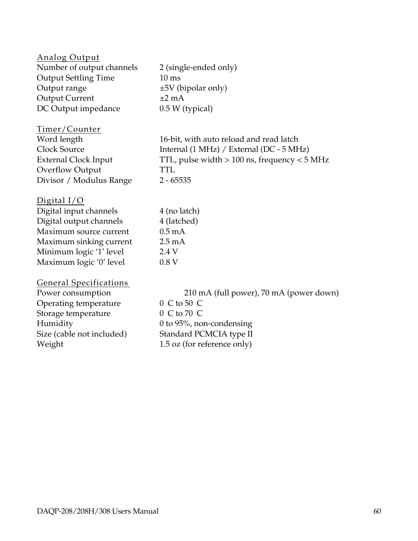| <b>Analog Output</b><br>Number of output channels<br><b>Output Settling Time</b><br>Output range<br><b>Output Current</b><br>DC Output impedance                              | 2 (single-ended only)<br>$10 \text{ ms}$<br>$\pm 5V$ (bipolar only)<br>$\pm 2$ mA<br>0.5 W (typical)                                                            |
|-------------------------------------------------------------------------------------------------------------------------------------------------------------------------------|-----------------------------------------------------------------------------------------------------------------------------------------------------------------|
| Timer/Counter<br>Word length<br>Clock Source<br><b>External Clock Input</b><br>Overflow Output<br>Divisor / Modulus Range                                                     | 16-bit, with auto reload and read latch<br>Internal (1 MHz) / External (DC - 5 MHz)<br>TTL, pulse width $> 100$ ns, frequency $< 5$ MHz<br>TTL<br>$2 - 65535$   |
| Digital $I/O$<br>Digital input channels<br>Digital output channels<br>Maximum source current<br>Maximum sinking current<br>Minimum logic '1' level<br>Maximum logic '0' level | 4 (no latch)<br>4 (latched)<br>$0.5 \text{ mA}$<br>$2.5 \text{ mA}$<br>2.4 V<br>0.8V                                                                            |
| <b>General Specifications</b><br>Power consumption<br>Operating temperature<br>Storage temperature<br>Humidity<br>Size (cable not included)<br>Weight                         | 210 mA (full power), 70 mA (power down)<br>0 C to 50 C<br>0 C to 70 C<br>0 to $95\%$ , non-condensing<br>Standard PCMCIA type II<br>1.5 oz (for reference only) |